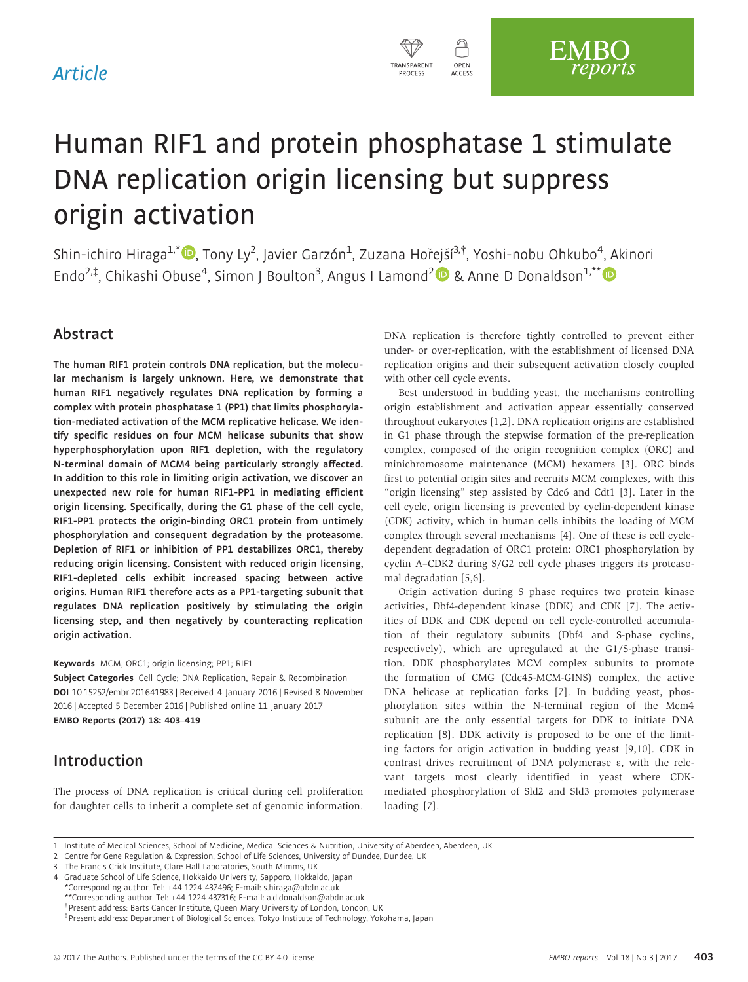## Article



# Human RIF1 and protein phosphatase 1 stimulate DNA replication origin licensing but suppress origin activation

Shin-ichiro Hiraga<sup>1,[\\*](http://orcid.org/0000-0002-8722-3869)</sup>®, Tony Ly<sup>2</sup>, Javier Garzón<sup>1</sup>, Zuzana Hořejší<sup>3,†</sup>, Yoshi-nobu Ohkubo<sup>4</sup>, Akinori Endo<sup>2,‡</sup>, Chikashi Obuse<sup>4</sup>, Simon J Boulton<sup>3</sup>, Angus I Lamond<sup>2</sup> <sup>D</sup> & Anne D Donaldson<sup>1,\*\*</sup>

## Abstract

The human RIF1 protein controls DNA replication, but the molecular mechanism is largely unknown. Here, we demonstrate that human RIF1 negatively regulates DNA replication by forming a complex with protein phosphatase 1 (PP1) that limits phosphorylation-mediated activation of the MCM replicative helicase. We identify specific residues on four MCM helicase subunits that show hyperphosphorylation upon RIF1 depletion, with the regulatory N-terminal domain of MCM4 being particularly strongly affected. In addition to this role in limiting origin activation, we discover an unexpected new role for human RIF1-PP1 in mediating efficient origin licensing. Specifically, during the G1 phase of the cell cycle, RIF1-PP1 protects the origin-binding ORC1 protein from untimely phosphorylation and consequent degradation by the proteasome. Depletion of RIF1 or inhibition of PP1 destabilizes ORC1, thereby reducing origin licensing. Consistent with reduced origin licensing, RIF1-depleted cells exhibit increased spacing between active origins. Human RIF1 therefore acts as a PP1-targeting subunit that regulates DNA replication positively by stimulating the origin licensing step, and then negatively by counteracting replication origin activation.

#### Keywords MCM; ORC1; origin licensing; PP1; RIF1

Subject Categories Cell Cycle; DNA Replication, Repair & Recombination DOI 10.15252/embr.201641983 | Received 4 January 2016 | Revised 8 November 2016 | Accepted 5 December 2016 | Published online 11 January 2017 EMBO Reports (2017) 18: 403–419

## Introduction

The process of DNA replication is critical during cell proliferation for daughter cells to inherit a complete set of genomic information. DNA replication is therefore tightly controlled to prevent either under- or over-replication, with the establishment of licensed DNA replication origins and their subsequent activation closely coupled with other cell cycle events.

Best understood in budding yeast, the mechanisms controlling origin establishment and activation appear essentially conserved throughout eukaryotes [1,2]. DNA replication origins are established in G1 phase through the stepwise formation of the pre-replication complex, composed of the origin recognition complex (ORC) and minichromosome maintenance (MCM) hexamers [3]. ORC binds first to potential origin sites and recruits MCM complexes, with this "origin licensing" step assisted by Cdc6 and Cdt1 [3]. Later in the cell cycle, origin licensing is prevented by cyclin-dependent kinase (CDK) activity, which in human cells inhibits the loading of MCM complex through several mechanisms [4]. One of these is cell cycledependent degradation of ORC1 protein: ORC1 phosphorylation by cyclin A–CDK2 during S/G2 cell cycle phases triggers its proteasomal degradation [5,6].

Origin activation during S phase requires two protein kinase activities, Dbf4-dependent kinase (DDK) and CDK [7]. The activities of DDK and CDK depend on cell cycle-controlled accumulation of their regulatory subunits (Dbf4 and S-phase cyclins, respectively), which are upregulated at the G1/S-phase transition. DDK phosphorylates MCM complex subunits to promote the formation of CMG (Cdc45-MCM-GINS) complex, the active DNA helicase at replication forks [7]. In budding yeast, phosphorylation sites within the N-terminal region of the Mcm4 subunit are the only essential targets for DDK to initiate DNA replication [8]. DDK activity is proposed to be one of the limiting factors for origin activation in budding yeast [9,10]. CDK in contrast drives recruitment of DNA polymerase  $\varepsilon$ , with the relevant targets most clearly identified in yeast where CDKmediated phosphorylation of Sld2 and Sld3 promotes polymerase loading [7].

<sup>1</sup> Institute of Medical Sciences, School of Medicine, Medical Sciences & Nutrition, University of Aberdeen, Aberdeen, UK

<sup>2</sup> Centre for Gene Regulation & Expression, School of Life Sciences, University of Dundee, Dundee, UK

<sup>3</sup> The Francis Crick Institute, Clare Hall Laboratories, South Mimms, UK

<sup>4</sup> Graduate School of Life Science, Hokkaido University, Sapporo, Hokkaido, Japan \*Corresponding author. Tel: +44 1224 437496; E-mail: s.hiraga@abdn.ac.uk \*\*Corresponding author. Tel: +44 1224 437316; E-mail: a.d.donaldson@abdn.ac.uk †

Present address: Barts Cancer Institute, Queen Mary University of London, London, UK

<sup>‡</sup> Present address: Department of Biological Sciences, Tokyo Institute of Technology, Yokohama, Japan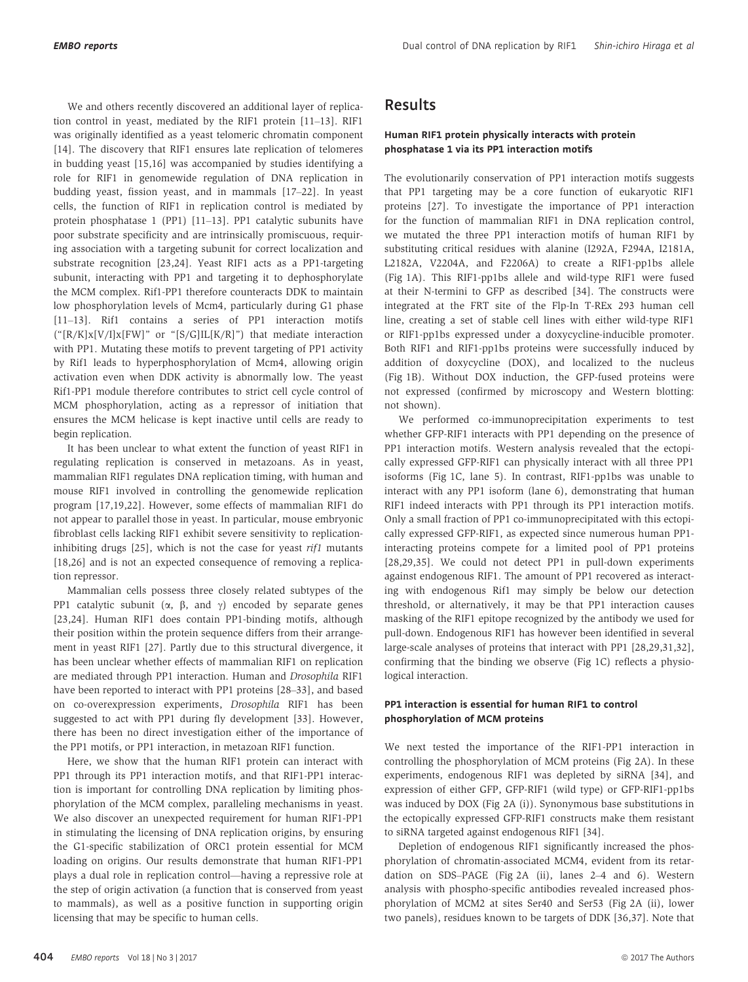We and others recently discovered an additional layer of replication control in yeast, mediated by the RIF1 protein [11–13]. RIF1 was originally identified as a yeast telomeric chromatin component [14]. The discovery that RIF1 ensures late replication of telomeres in budding yeast [15,16] was accompanied by studies identifying a role for RIF1 in genomewide regulation of DNA replication in budding yeast, fission yeast, and in mammals [17–22]. In yeast cells, the function of RIF1 in replication control is mediated by protein phosphatase 1 (PP1) [11–13]. PP1 catalytic subunits have poor substrate specificity and are intrinsically promiscuous, requiring association with a targeting subunit for correct localization and substrate recognition [23,24]. Yeast RIF1 acts as a PP1-targeting subunit, interacting with PP1 and targeting it to dephosphorylate the MCM complex. Rif1-PP1 therefore counteracts DDK to maintain low phosphorylation levels of Mcm4, particularly during G1 phase [11–13]. Rif1 contains a series of PP1 interaction motifs  $("[R/K]X[V/I]X[FW]"$  or  $-[S/G]I[L[K/R]")$  that mediate interaction with PP1. Mutating these motifs to prevent targeting of PP1 activity by Rif1 leads to hyperphosphorylation of Mcm4, allowing origin activation even when DDK activity is abnormally low. The yeast Rif1-PP1 module therefore contributes to strict cell cycle control of MCM phosphorylation, acting as a repressor of initiation that ensures the MCM helicase is kept inactive until cells are ready to begin replication.

It has been unclear to what extent the function of yeast RIF1 in regulating replication is conserved in metazoans. As in yeast, mammalian RIF1 regulates DNA replication timing, with human and mouse RIF1 involved in controlling the genomewide replication program [17,19,22]. However, some effects of mammalian RIF1 do not appear to parallel those in yeast. In particular, mouse embryonic fibroblast cells lacking RIF1 exhibit severe sensitivity to replicationinhibiting drugs  $[25]$ , which is not the case for yeast  $rifl$  mutants [18,26] and is not an expected consequence of removing a replication repressor.

Mammalian cells possess three closely related subtypes of the PP1 catalytic subunit ( $\alpha$ ,  $\beta$ , and  $\gamma$ ) encoded by separate genes [23,24]. Human RIF1 does contain PP1-binding motifs, although their position within the protein sequence differs from their arrangement in yeast RIF1 [27]. Partly due to this structural divergence, it has been unclear whether effects of mammalian RIF1 on replication are mediated through PP1 interaction. Human and Drosophila RIF1 have been reported to interact with PP1 proteins [28–33], and based on co-overexpression experiments, Drosophila RIF1 has been suggested to act with PP1 during fly development [33]. However, there has been no direct investigation either of the importance of the PP1 motifs, or PP1 interaction, in metazoan RIF1 function.

Here, we show that the human RIF1 protein can interact with PP1 through its PP1 interaction motifs, and that RIF1-PP1 interaction is important for controlling DNA replication by limiting phosphorylation of the MCM complex, paralleling mechanisms in yeast. We also discover an unexpected requirement for human RIF1-PP1 in stimulating the licensing of DNA replication origins, by ensuring the G1-specific stabilization of ORC1 protein essential for MCM loading on origins. Our results demonstrate that human RIF1-PP1 plays a dual role in replication control—having a repressive role at the step of origin activation (a function that is conserved from yeast to mammals), as well as a positive function in supporting origin licensing that may be specific to human cells.

#### Human RIF1 protein physically interacts with protein phosphatase 1 via its PP1 interaction motifs

The evolutionarily conservation of PP1 interaction motifs suggests that PP1 targeting may be a core function of eukaryotic RIF1 proteins [27]. To investigate the importance of PP1 interaction for the function of mammalian RIF1 in DNA replication control, we mutated the three PP1 interaction motifs of human RIF1 by substituting critical residues with alanine (I292A, F294A, I2181A, L2182A, V2204A, and F2206A) to create a RIF1-pp1bs allele (Fig 1A). This RIF1-pp1bs allele and wild-type RIF1 were fused at their N-termini to GFP as described [34]. The constructs were integrated at the FRT site of the Flp-In T-REx 293 human cell line, creating a set of stable cell lines with either wild-type RIF1 or RIF1-pp1bs expressed under a doxycycline-inducible promoter. Both RIF1 and RIF1-pp1bs proteins were successfully induced by addition of doxycycline (DOX), and localized to the nucleus (Fig 1B). Without DOX induction, the GFP-fused proteins were not expressed (confirmed by microscopy and Western blotting: not shown).

We performed co-immunoprecipitation experiments to test whether GFP-RIF1 interacts with PP1 depending on the presence of PP1 interaction motifs. Western analysis revealed that the ectopically expressed GFP-RIF1 can physically interact with all three PP1 isoforms (Fig 1C, lane 5). In contrast, RIF1-pp1bs was unable to interact with any PP1 isoform (lane 6), demonstrating that human RIF1 indeed interacts with PP1 through its PP1 interaction motifs. Only a small fraction of PP1 co-immunoprecipitated with this ectopically expressed GFP-RIF1, as expected since numerous human PP1 interacting proteins compete for a limited pool of PP1 proteins [28,29,35]. We could not detect PP1 in pull-down experiments against endogenous RIF1. The amount of PP1 recovered as interacting with endogenous Rif1 may simply be below our detection threshold, or alternatively, it may be that PP1 interaction causes masking of the RIF1 epitope recognized by the antibody we used for pull-down. Endogenous RIF1 has however been identified in several large-scale analyses of proteins that interact with PP1 [28,29,31,32], confirming that the binding we observe (Fig 1C) reflects a physiological interaction.

#### PP1 interaction is essential for human RIF1 to control phosphorylation of MCM proteins

We next tested the importance of the RIF1-PP1 interaction in controlling the phosphorylation of MCM proteins (Fig 2A). In these experiments, endogenous RIF1 was depleted by siRNA [34], and expression of either GFP, GFP-RIF1 (wild type) or GFP-RIF1-pp1bs was induced by DOX (Fig 2A (i)). Synonymous base substitutions in the ectopically expressed GFP-RIF1 constructs make them resistant to siRNA targeted against endogenous RIF1 [34].

Depletion of endogenous RIF1 significantly increased the phosphorylation of chromatin-associated MCM4, evident from its retardation on SDS–PAGE (Fig 2A (ii), lanes 2–4 and 6). Western analysis with phospho-specific antibodies revealed increased phosphorylation of MCM2 at sites Ser40 and Ser53 (Fig 2A (ii), lower two panels), residues known to be targets of DDK [36,37]. Note that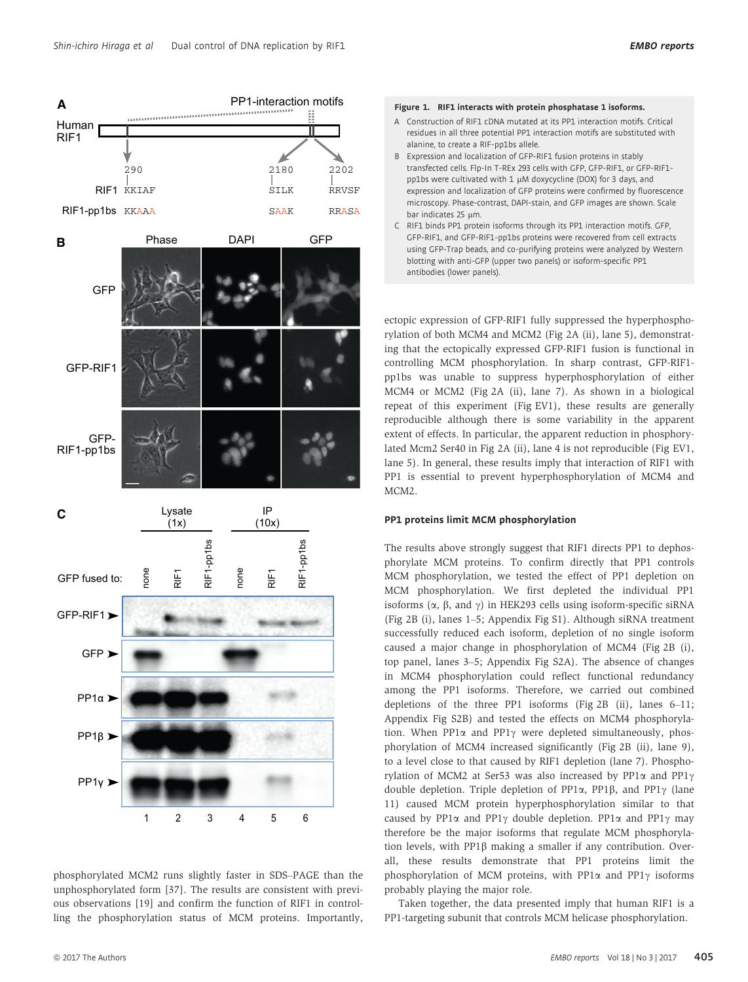

#### Figure 1. RIF1 interacts with protein phosphatase 1 isoforms.

- A Construction of RIF1 cDNA mutated at its PP1 interaction motifs. Critical residues in all three potential PP1 interaction motifs are substituted with alanine, to create a RIF-pp1bs allele.
- B Expression and localization of GFP-RIF1 fusion proteins in stably transfected cells. Flp-In T-REx 293 cells with GFP, GFP-RIF1, or GFP-RIF1 pp1bs were cultivated with 1  $\mu$ M doxycycline (DOX) for 3 days, and expression and localization of GFP proteins were confirmed by fluorescence microscopy. Phase-contrast, DAPI-stain, and GFP images are shown. Scale bar indicates 25 µm.
- C RIF1 binds PP1 protein isoforms through its PP1 interaction motifs. GFP, GFP-RIF1, and GFP-RIF1-pp1bs proteins were recovered from cell extracts using GFP-Trap beads, and co-purifying proteins were analyzed by Western blotting with anti-GFP (upper two panels) or isoform-specific PP1 antibodies (lower panels).

ectopic expression of GFP-RIF1 fully suppressed the hyperphosphorylation of both MCM4 and MCM2 (Fig 2A (ii), lane 5), demonstrating that the ectopically expressed GFP-RIF1 fusion is functional in controlling MCM phosphorylation. In sharp contrast, GFP-RIF1 pp1bs was unable to suppress hyperphosphorylation of either MCM4 or MCM2 (Fig 2A (ii), lane 7). As shown in a biological repeat of this experiment (Fig EV1), these results are generally reproducible although there is some variability in the apparent extent of effects. In particular, the apparent reduction in phosphorylated Mcm2 Ser40 in Fig 2A (ii), lane 4 is not reproducible (Fig EV1, lane 5). In general, these results imply that interaction of RIF1 with PP1 is essential to prevent hyperphosphorylation of MCM4 and MCM2.

#### PP1 proteins limit MCM phosphorylation

The results above strongly suggest that RIF1 directs PP1 to dephosphorylate MCM proteins. To confirm directly that PP1 controls MCM phosphorylation, we tested the effect of PP1 depletion on MCM phosphorylation. We first depleted the individual PP1 isoforms  $(\alpha, \beta, \text{ and } \gamma)$  in HEK293 cells using isoform-specific siRNA (Fig 2B (i), lanes 1–5; Appendix Fig S1). Although siRNA treatment successfully reduced each isoform, depletion of no single isoform caused a major change in phosphorylation of MCM4 (Fig 2B (i), top panel, lanes 3–5; Appendix Fig S2A). The absence of changes in MCM4 phosphorylation could reflect functional redundancy among the PP1 isoforms. Therefore, we carried out combined depletions of the three PP1 isoforms (Fig 2B (ii), lanes 6–11; Appendix Fig S2B) and tested the effects on MCM4 phosphorylation. When PP1 $\alpha$  and PP1 $\gamma$  were depleted simultaneously, phosphorylation of MCM4 increased significantly (Fig 2B (ii), lane 9), to a level close to that caused by RIF1 depletion (lane 7). Phosphorylation of MCM2 at Ser53 was also increased by  $PP1\alpha$  and  $PP1\gamma$ double depletion. Triple depletion of PP1 $\alpha$ , PP1 $\beta$ , and PP1 $\gamma$  (lane 11) caused MCM protein hyperphosphorylation similar to that caused by PP1 $\alpha$  and PP1 $\gamma$  double depletion. PP1 $\alpha$  and PP1 $\gamma$  may therefore be the major isoforms that regulate MCM phosphorylation levels, with  $PP1\beta$  making a smaller if any contribution. Overall, these results demonstrate that PP1 proteins limit the phosphorylation of MCM proteins, with PP1 $\alpha$  and PP1 $\gamma$  isoforms probably playing the major role.

Taken together, the data presented imply that human RIF1 is a PP1-targeting subunit that controls MCM helicase phosphorylation.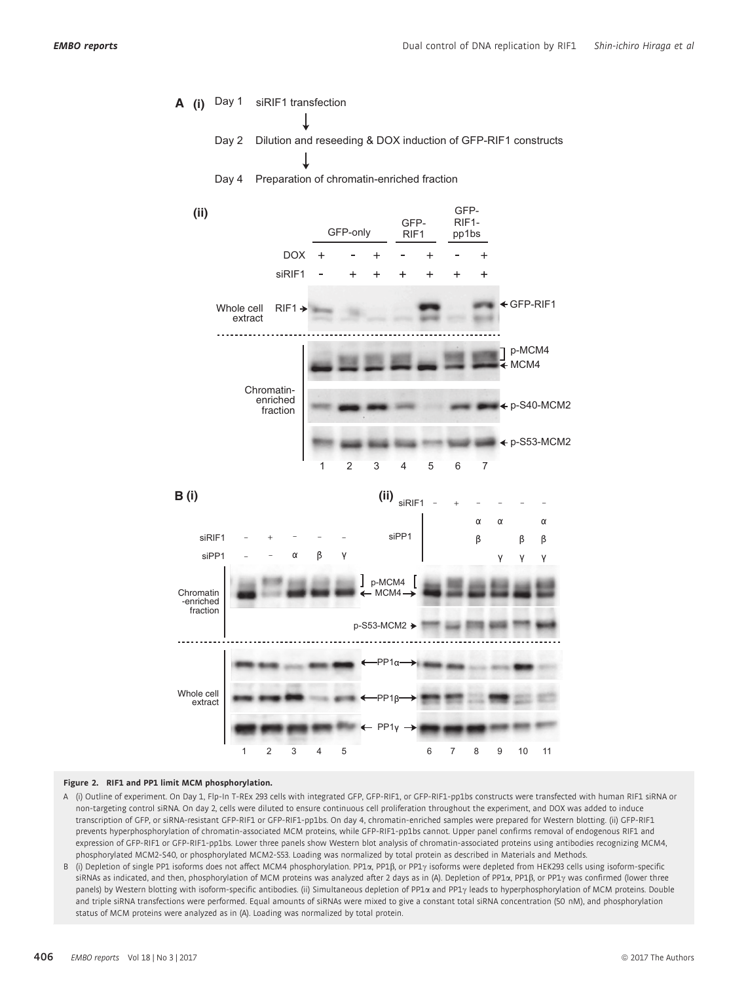

#### Figure 2. RIF1 and PP1 limit MCM phosphorylation.

- A (i) Outline of experiment. On Day 1, Flp-In T-REx 293 cells with integrated GFP, GFP-RIF1, or GFP-RIF1-pp1bs constructs were transfected with human RIF1 siRNA or non-targeting control siRNA. On day 2, cells were diluted to ensure continuous cell proliferation throughout the experiment, and DOX was added to induce transcription of GFP, or siRNA-resistant GFP-RIF1 or GFP-RIF1-pp1bs. On day 4, chromatin-enriched samples were prepared for Western blotting. (ii) GFP-RIF1 prevents hyperphosphorylation of chromatin-associated MCM proteins, while GFP-RIF1-pp1bs cannot. Upper panel confirms removal of endogenous RIF1 and expression of GFP-RIF1 or GFP-RIF1-pp1bs. Lower three panels show Western blot analysis of chromatin-associated proteins using antibodies recognizing MCM4, phosphorylated MCM2-S40, or phosphorylated MCM2-S53. Loading was normalized by total protein as described in Materials and Methods.
- B (i) Depletion of single PP1 isoforms does not affect MCM4 phosphorylation. PP1a, PP1B, or PP1 $\gamma$  isoforms were depleted from HEK293 cells using isoform-specific siRNAs as indicated, and then, phosphorylation of MCM proteins was analyzed after 2 days as in (A). Depletion of PP1 $\alpha$ , PP1 $\beta$ , or PP1 $\gamma$  was confirmed (lower three panels) by Western blotting with isoform-specific antibodies. (ii) Simultaneous depletion of PP1a and PP1 $\gamma$  leads to hyperphosphorylation of MCM proteins. Double and triple siRNA transfections were performed. Equal amounts of siRNAs were mixed to give a constant total siRNA concentration (50 nM), and phosphorylation status of MCM proteins were analyzed as in (A). Loading was normalized by total protein.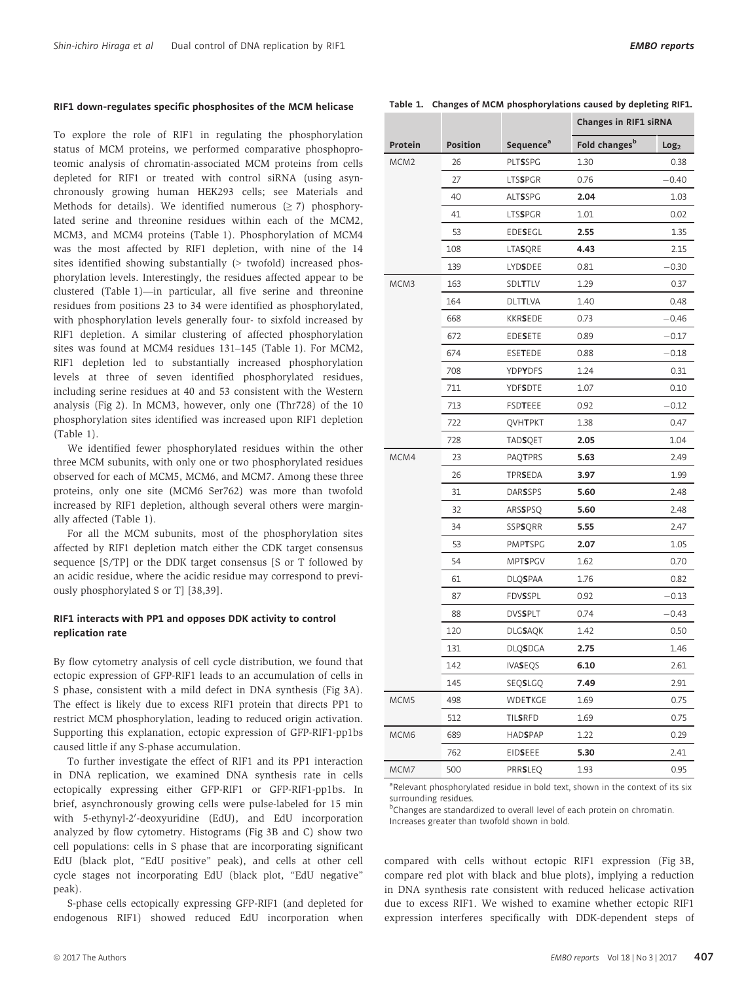#### RIF1 down-regulates specific phosphosites of the MCM helicase

To explore the role of RIF1 in regulating the phosphorylation status of MCM proteins, we performed comparative phosphoproteomic analysis of chromatin-associated MCM proteins from cells depleted for RIF1 or treated with control siRNA (using asynchronously growing human HEK293 cells; see Materials and Methods for details). We identified numerous  $(≥ 7)$  phosphorylated serine and threonine residues within each of the MCM2, MCM3, and MCM4 proteins (Table 1). Phosphorylation of MCM4 was the most affected by RIF1 depletion, with nine of the 14 sites identified showing substantially (> twofold) increased phosphorylation levels. Interestingly, the residues affected appear to be clustered (Table 1)—in particular, all five serine and threonine residues from positions 23 to 34 were identified as phosphorylated, with phosphorylation levels generally four- to sixfold increased by RIF1 depletion. A similar clustering of affected phosphorylation sites was found at MCM4 residues 131–145 (Table 1). For MCM2, RIF1 depletion led to substantially increased phosphorylation levels at three of seven identified phosphorylated residues, including serine residues at 40 and 53 consistent with the Western analysis (Fig 2). In MCM3, however, only one (Thr728) of the 10 phosphorylation sites identified was increased upon RIF1 depletion (Table 1).

We identified fewer phosphorylated residues within the other three MCM subunits, with only one or two phosphorylated residues observed for each of MCM5, MCM6, and MCM7. Among these three proteins, only one site (MCM6 Ser762) was more than twofold increased by RIF1 depletion, although several others were marginally affected (Table 1).

For all the MCM subunits, most of the phosphorylation sites affected by RIF1 depletion match either the CDK target consensus sequence [S/TP] or the DDK target consensus [S or T followed by an acidic residue, where the acidic residue may correspond to previously phosphorylated S or T] [38,39].

#### RIF1 interacts with PP1 and opposes DDK activity to control replication rate

By flow cytometry analysis of cell cycle distribution, we found that ectopic expression of GFP-RIF1 leads to an accumulation of cells in S phase, consistent with a mild defect in DNA synthesis (Fig 3A). The effect is likely due to excess RIF1 protein that directs PP1 to restrict MCM phosphorylation, leading to reduced origin activation. Supporting this explanation, ectopic expression of GFP-RIF1-pp1bs caused little if any S-phase accumulation.

To further investigate the effect of RIF1 and its PP1 interaction in DNA replication, we examined DNA synthesis rate in cells ectopically expressing either GFP-RIF1 or GFP-RIF1-pp1bs. In brief, asynchronously growing cells were pulse-labeled for 15 min with 5-ethynyl-2'-deoxyuridine (EdU), and EdU incorporation analyzed by flow cytometry. Histograms (Fig 3B and C) show two cell populations: cells in S phase that are incorporating significant EdU (black plot, "EdU positive" peak), and cells at other cell cycle stages not incorporating EdU (black plot, "EdU negative" peak).

S-phase cells ectopically expressing GFP-RIF1 (and depleted for endogenous RIF1) showed reduced EdU incorporation when

Table 1. Changes of MCM phosphorylations caused by depleting RIF1.

|                  |                 |                       |                           | <b>Changes in RIF1 siRNA</b> |  |
|------------------|-----------------|-----------------------|---------------------------|------------------------------|--|
| Protein          | <b>Position</b> | Sequence <sup>a</sup> | Fold changes <sup>b</sup> | Log <sub>2</sub>             |  |
| MCM <sub>2</sub> | 26              | <b>PLTSSPG</b>        | 1.30                      | 0.38                         |  |
|                  | 27              | <b>LTSSPGR</b>        | 0.76                      | $-0.40$                      |  |
|                  | 40              | <b>ALTSSPG</b>        | 2.04                      | 1.03                         |  |
|                  | 41              | <b>LTSSPGR</b>        | 1.01                      | 0.02                         |  |
|                  | 53              | EDESEGL               | 2.55                      | 1.35                         |  |
|                  | 108             | <b>LTASQRE</b>        | 4.43                      | 2.15                         |  |
|                  | 139             | <b>LYDSDEE</b>        | 0.81                      | $-0.30$                      |  |
| MCM3             | 163             | SDLTTLV               | 1.29                      | 0.37                         |  |
|                  | 164             | <b>DLTTLVA</b>        | 1.40                      | 0.48                         |  |
|                  | 668             | <b>KKRSEDE</b>        | 0.73                      | $-0.46$                      |  |
|                  | 672             | EDESETE               | 0.89                      | $-0.17$                      |  |
|                  | 674             | ESETEDE               | 0.88                      | $-0.18$                      |  |
|                  | 708             | YDPYDFS               | 1.24                      | 0.31                         |  |
|                  | 711             | <b>YDFSDTE</b>        | 1.07                      | 0.10                         |  |
|                  | 713             | FSDTEEE               | 0.92                      | $-0.12$                      |  |
|                  | 722             | QVHTPKT               | 1.38                      | 0.47                         |  |
|                  | 728             | <b>TADSQET</b>        | 2.05                      | 1.04                         |  |
| MCM4             | 23              | <b>PAQTPRS</b>        | 5.63                      | 2.49                         |  |
|                  | 26              | TPRSEDA               | 3.97                      | 1.99                         |  |
|                  | 31              | <b>DARSSPS</b>        | 5.60                      | 2.48                         |  |
|                  | 32              | ARSSPSQ               | 5.60                      | 2.48                         |  |
|                  | 34              | <b>SSPSQRR</b>        | 5.55                      | 2.47                         |  |
|                  | 53              | PMPTSPG               | 2.07                      | 1.05                         |  |
|                  | 54              | MPT <b>S</b> PGV      | 1.62                      | 0.70                         |  |
|                  | 61              | <b>DLQSPAA</b>        | 1.76                      | 0.82                         |  |
|                  | 87              | <b>FDVSSPL</b>        | 0.92                      | $-0.13$                      |  |
|                  | 88              | <b>DVSSPLT</b>        | 0.74                      | $-0.43$                      |  |
|                  | 120             | <b>DLGSAQK</b>        | 1.42                      | 0.50                         |  |
|                  | 131             | <b>DLQSDGA</b>        | 2.75                      | 1.46                         |  |
|                  | 142             | <b>IVASEQS</b>        | 6.10                      | 2.61                         |  |
|                  | 145             | SEQSLGQ               | 7.49                      | 2.91                         |  |
| MCM5             | 498             | WDETKGE               | 1.69                      | 0.75                         |  |
|                  | 512             | <b>TILSRFD</b>        | 1.69                      | 0.75                         |  |
| MCM6             | 689             | <b>HADSPAP</b>        | 1.22                      | 0.29                         |  |
|                  | 762             | EIDSEEE               | 5.30                      | 2.41                         |  |
| MCM7             | 500             | PRRSLEQ               | 1.93                      | 0.95                         |  |

<sup>a</sup>Relevant phosphorylated residue in bold text, shown in the context of its six surrounding residues.

<sup>b</sup>Changes are standardized to overall level of each protein on chromatin.

Increases greater than twofold shown in bold.

compared with cells without ectopic RIF1 expression (Fig 3B, compare red plot with black and blue plots), implying a reduction in DNA synthesis rate consistent with reduced helicase activation due to excess RIF1. We wished to examine whether ectopic RIF1 expression interferes specifically with DDK-dependent steps of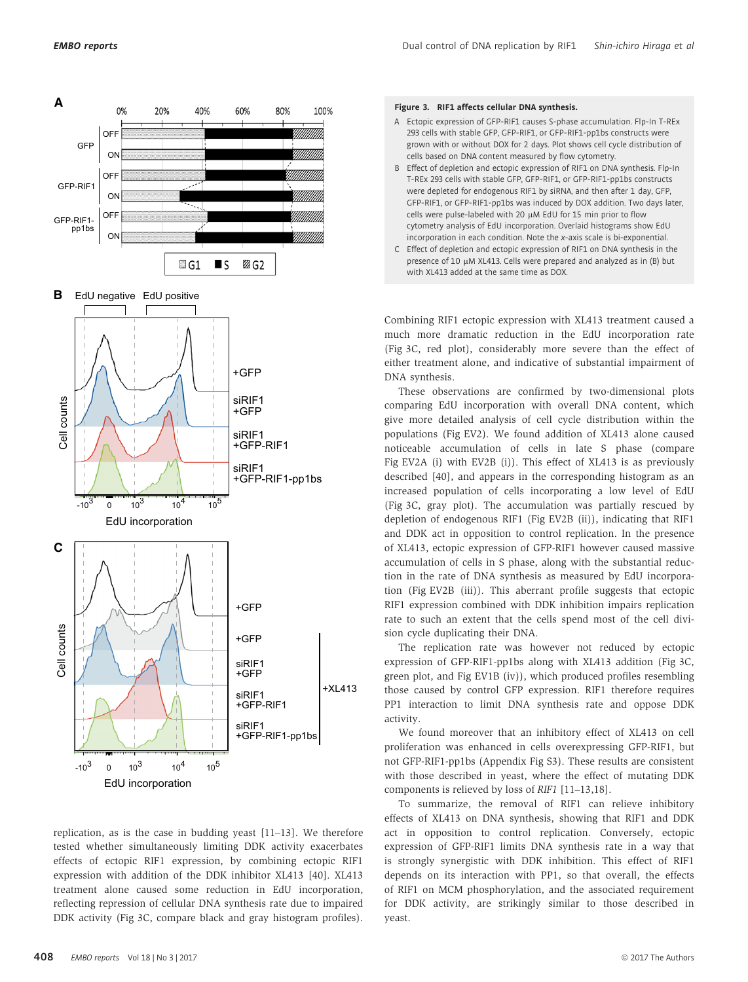

replication, as is the case in budding yeast [11–13]. We therefore tested whether simultaneously limiting DDK activity exacerbates effects of ectopic RIF1 expression, by combining ectopic RIF1 expression with addition of the DDK inhibitor XL413 [40]. XL413 treatment alone caused some reduction in EdU incorporation, reflecting repression of cellular DNA synthesis rate due to impaired DDK activity (Fig 3C, compare black and gray histogram profiles).

#### Figure 3. RIF1 affects cellular DNA synthesis.

- A Ectopic expression of GFP-RIF1 causes S-phase accumulation. Flp-In T-REx 293 cells with stable GFP, GFP-RIF1, or GFP-RIF1-pp1bs constructs were grown with or without DOX for 2 days. Plot shows cell cycle distribution of cells based on DNA content measured by flow cytometry.
- B Effect of depletion and ectopic expression of RIF1 on DNA synthesis. Flp-In T-REx 293 cells with stable GFP, GFP-RIF1, or GFP-RIF1-pp1bs constructs were depleted for endogenous RIF1 by siRNA, and then after 1 day, GFP, GFP-RIF1, or GFP-RIF1-pp1bs was induced by DOX addition. Two days later, cells were pulse-labeled with 20 µM EdU for 15 min prior to flow cytometry analysis of EdU incorporation. Overlaid histograms show EdU incorporation in each condition. Note the x-axis scale is bi-exponential.
- C Effect of depletion and ectopic expression of RIF1 on DNA synthesis in the presence of 10 µM XL413. Cells were prepared and analyzed as in (B) but with XL413 added at the same time as DOX.

Combining RIF1 ectopic expression with XL413 treatment caused a much more dramatic reduction in the EdU incorporation rate (Fig 3C, red plot), considerably more severe than the effect of either treatment alone, and indicative of substantial impairment of DNA synthesis.

These observations are confirmed by two-dimensional plots comparing EdU incorporation with overall DNA content, which give more detailed analysis of cell cycle distribution within the populations (Fig EV2). We found addition of XL413 alone caused noticeable accumulation of cells in late S phase (compare Fig EV2A (i) with EV2B (i)). This effect of XL413 is as previously described [40], and appears in the corresponding histogram as an increased population of cells incorporating a low level of EdU (Fig 3C, gray plot). The accumulation was partially rescued by depletion of endogenous RIF1 (Fig EV2B (ii)), indicating that RIF1 and DDK act in opposition to control replication. In the presence of XL413, ectopic expression of GFP-RIF1 however caused massive accumulation of cells in S phase, along with the substantial reduction in the rate of DNA synthesis as measured by EdU incorporation (Fig EV2B (iii)). This aberrant profile suggests that ectopic RIF1 expression combined with DDK inhibition impairs replication rate to such an extent that the cells spend most of the cell division cycle duplicating their DNA.

The replication rate was however not reduced by ectopic expression of GFP-RIF1-pp1bs along with XL413 addition (Fig 3C, green plot, and Fig EV1B (iv)), which produced profiles resembling those caused by control GFP expression. RIF1 therefore requires PP1 interaction to limit DNA synthesis rate and oppose DDK activity.

We found moreover that an inhibitory effect of XL413 on cell proliferation was enhanced in cells overexpressing GFP-RIF1, but not GFP-RIF1-pp1bs (Appendix Fig S3). These results are consistent with those described in yeast, where the effect of mutating DDK components is relieved by loss of RIF1 [11–13,18].

To summarize, the removal of RIF1 can relieve inhibitory effects of XL413 on DNA synthesis, showing that RIF1 and DDK act in opposition to control replication. Conversely, ectopic expression of GFP-RIF1 limits DNA synthesis rate in a way that is strongly synergistic with DDK inhibition. This effect of RIF1 depends on its interaction with PP1, so that overall, the effects of RIF1 on MCM phosphorylation, and the associated requirement for DDK activity, are strikingly similar to those described in yeast.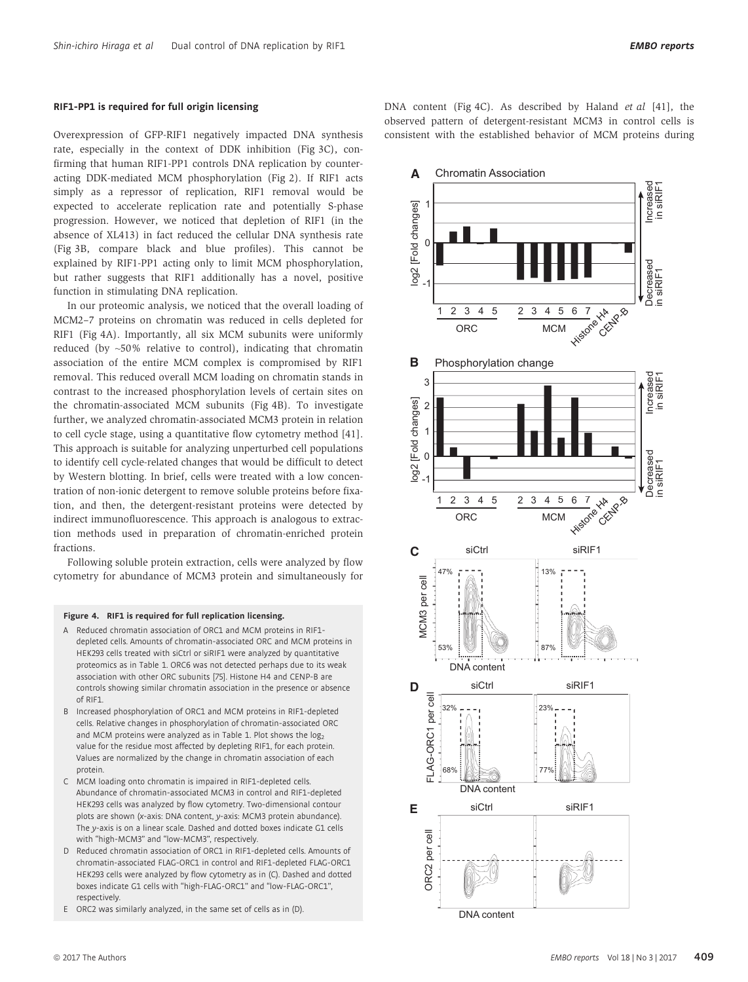#### RIF1-PP1 is required for full origin licensing

Overexpression of GFP-RIF1 negatively impacted DNA synthesis rate, especially in the context of DDK inhibition (Fig 3C), confirming that human RIF1-PP1 controls DNA replication by counteracting DDK-mediated MCM phosphorylation (Fig 2). If RIF1 acts simply as a repressor of replication, RIF1 removal would be expected to accelerate replication rate and potentially S-phase progression. However, we noticed that depletion of RIF1 (in the absence of XL413) in fact reduced the cellular DNA synthesis rate (Fig 3B, compare black and blue profiles). This cannot be explained by RIF1-PP1 acting only to limit MCM phosphorylation, but rather suggests that RIF1 additionally has a novel, positive function in stimulating DNA replication.

In our proteomic analysis, we noticed that the overall loading of MCM2–7 proteins on chromatin was reduced in cells depleted for RIF1 (Fig 4A). Importantly, all six MCM subunits were uniformly reduced (by ~50% relative to control), indicating that chromatin association of the entire MCM complex is compromised by RIF1 removal. This reduced overall MCM loading on chromatin stands in contrast to the increased phosphorylation levels of certain sites on the chromatin-associated MCM subunits (Fig 4B). To investigate further, we analyzed chromatin-associated MCM3 protein in relation to cell cycle stage, using a quantitative flow cytometry method [41]. This approach is suitable for analyzing unperturbed cell populations to identify cell cycle-related changes that would be difficult to detect by Western blotting. In brief, cells were treated with a low concentration of non-ionic detergent to remove soluble proteins before fixation, and then, the detergent-resistant proteins were detected by indirect immunofluorescence. This approach is analogous to extraction methods used in preparation of chromatin-enriched protein fractions.

Following soluble protein extraction, cells were analyzed by flow cytometry for abundance of MCM3 protein and simultaneously for

#### Figure 4. RIF1 is required for full replication licensing.

- A Reduced chromatin association of ORC1 and MCM proteins in RIF1 depleted cells. Amounts of chromatin-associated ORC and MCM proteins in HEK293 cells treated with siCtrl or siRIF1 were analyzed by quantitative proteomics as in Table 1. ORC6 was not detected perhaps due to its weak association with other ORC subunits [75]. Histone H4 and CENP-B are controls showing similar chromatin association in the presence or absence of RIF1.
- B Increased phosphorylation of ORC1 and MCM proteins in RIF1-depleted cells. Relative changes in phosphorylation of chromatin-associated ORC and MCM proteins were analyzed as in Table 1. Plot shows the  $log<sub>2</sub>$ value for the residue most affected by depleting RIF1, for each protein. Values are normalized by the change in chromatin association of each protein.
- C MCM loading onto chromatin is impaired in RIF1-depleted cells. Abundance of chromatin-associated MCM3 in control and RIF1-depleted HEK293 cells was analyzed by flow cytometry. Two-dimensional contour plots are shown (x-axis: DNA content, y-axis: MCM3 protein abundance). The y-axis is on a linear scale. Dashed and dotted boxes indicate G1 cells with "high-MCM3" and "low-MCM3", respectively.
- D Reduced chromatin association of ORC1 in RIF1-depleted cells. Amounts of chromatin-associated FLAG-ORC1 in control and RIF1-depleted FLAG-ORC1 HEK293 cells were analyzed by flow cytometry as in (C). Dashed and dotted boxes indicate G1 cells with "high-FLAG-ORC1" and "low-FLAG-ORC1", respectively.
- E ORC2 was similarly analyzed, in the same set of cells as in (D).

DNA content (Fig 4C). As described by Haland et al [41], the observed pattern of detergent-resistant MCM3 in control cells is consistent with the established behavior of MCM proteins during

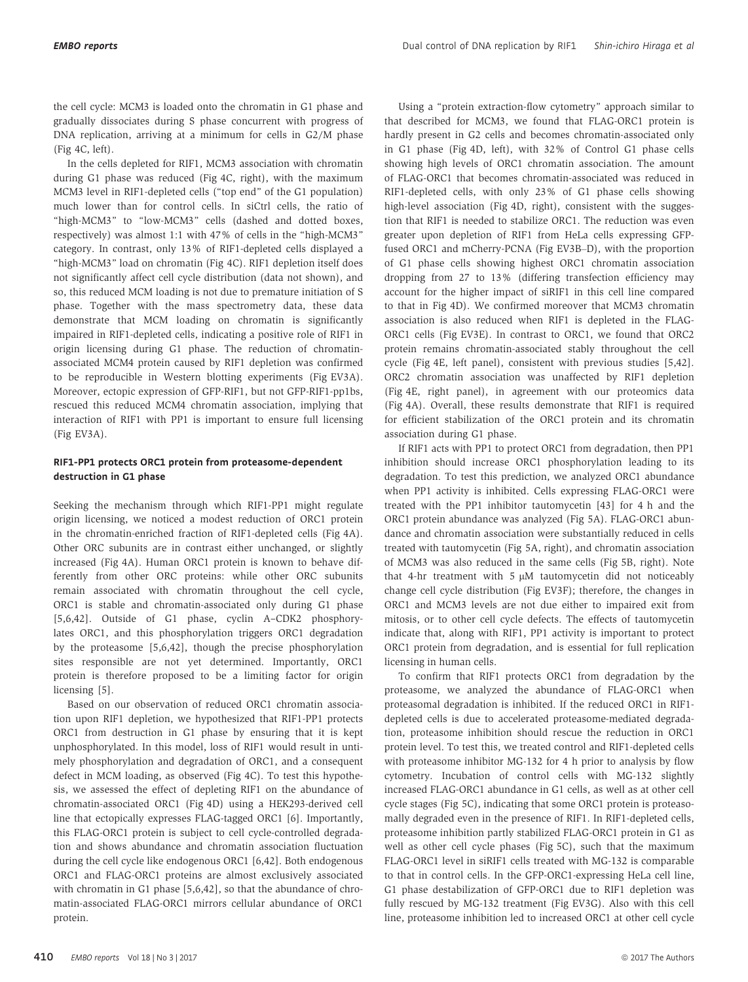the cell cycle: MCM3 is loaded onto the chromatin in G1 phase and gradually dissociates during S phase concurrent with progress of DNA replication, arriving at a minimum for cells in G2/M phase (Fig 4C, left).

In the cells depleted for RIF1, MCM3 association with chromatin during G1 phase was reduced (Fig 4C, right), with the maximum MCM3 level in RIF1-depleted cells ("top end" of the G1 population) much lower than for control cells. In siCtrl cells, the ratio of "high-MCM3" to "low-MCM3" cells (dashed and dotted boxes, respectively) was almost 1:1 with 47% of cells in the "high-MCM3" category. In contrast, only 13% of RIF1-depleted cells displayed a "high-MCM3" load on chromatin (Fig 4C). RIF1 depletion itself does not significantly affect cell cycle distribution (data not shown), and so, this reduced MCM loading is not due to premature initiation of S phase. Together with the mass spectrometry data, these data demonstrate that MCM loading on chromatin is significantly impaired in RIF1-depleted cells, indicating a positive role of RIF1 in origin licensing during G1 phase. The reduction of chromatinassociated MCM4 protein caused by RIF1 depletion was confirmed to be reproducible in Western blotting experiments (Fig EV3A). Moreover, ectopic expression of GFP-RIF1, but not GFP-RIF1-pp1bs, rescued this reduced MCM4 chromatin association, implying that interaction of RIF1 with PP1 is important to ensure full licensing (Fig EV3A).

#### RIF1-PP1 protects ORC1 protein from proteasome-dependent destruction in G1 phase

Seeking the mechanism through which RIF1-PP1 might regulate origin licensing, we noticed a modest reduction of ORC1 protein in the chromatin-enriched fraction of RIF1-depleted cells (Fig 4A). Other ORC subunits are in contrast either unchanged, or slightly increased (Fig 4A). Human ORC1 protein is known to behave differently from other ORC proteins: while other ORC subunits remain associated with chromatin throughout the cell cycle, ORC1 is stable and chromatin-associated only during G1 phase [5,6,42]. Outside of G1 phase, cyclin A–CDK2 phosphorylates ORC1, and this phosphorylation triggers ORC1 degradation by the proteasome [5,6,42], though the precise phosphorylation sites responsible are not yet determined. Importantly, ORC1 protein is therefore proposed to be a limiting factor for origin licensing [5].

Based on our observation of reduced ORC1 chromatin association upon RIF1 depletion, we hypothesized that RIF1-PP1 protects ORC1 from destruction in G1 phase by ensuring that it is kept unphosphorylated. In this model, loss of RIF1 would result in untimely phosphorylation and degradation of ORC1, and a consequent defect in MCM loading, as observed (Fig 4C). To test this hypothesis, we assessed the effect of depleting RIF1 on the abundance of chromatin-associated ORC1 (Fig 4D) using a HEK293-derived cell line that ectopically expresses FLAG-tagged ORC1 [6]. Importantly, this FLAG-ORC1 protein is subject to cell cycle-controlled degradation and shows abundance and chromatin association fluctuation during the cell cycle like endogenous ORC1 [6,42]. Both endogenous ORC1 and FLAG-ORC1 proteins are almost exclusively associated with chromatin in G1 phase [5,6,42], so that the abundance of chromatin-associated FLAG-ORC1 mirrors cellular abundance of ORC1 protein.

Using a "protein extraction-flow cytometry" approach similar to that described for MCM3, we found that FLAG-ORC1 protein is hardly present in G2 cells and becomes chromatin-associated only in G1 phase (Fig 4D, left), with 32% of Control G1 phase cells showing high levels of ORC1 chromatin association. The amount of FLAG-ORC1 that becomes chromatin-associated was reduced in RIF1-depleted cells, with only 23% of G1 phase cells showing high-level association (Fig 4D, right), consistent with the suggestion that RIF1 is needed to stabilize ORC1. The reduction was even greater upon depletion of RIF1 from HeLa cells expressing GFPfused ORC1 and mCherry-PCNA (Fig EV3B–D), with the proportion of G1 phase cells showing highest ORC1 chromatin association dropping from 27 to 13% (differing transfection efficiency may account for the higher impact of siRIF1 in this cell line compared to that in Fig 4D). We confirmed moreover that MCM3 chromatin association is also reduced when RIF1 is depleted in the FLAG-ORC1 cells (Fig EV3E). In contrast to ORC1, we found that ORC2 protein remains chromatin-associated stably throughout the cell cycle (Fig 4E, left panel), consistent with previous studies [5,42]. ORC2 chromatin association was unaffected by RIF1 depletion (Fig 4E, right panel), in agreement with our proteomics data (Fig 4A). Overall, these results demonstrate that RIF1 is required for efficient stabilization of the ORC1 protein and its chromatin association during G1 phase.

If RIF1 acts with PP1 to protect ORC1 from degradation, then PP1 inhibition should increase ORC1 phosphorylation leading to its degradation. To test this prediction, we analyzed ORC1 abundance when PP1 activity is inhibited. Cells expressing FLAG-ORC1 were treated with the PP1 inhibitor tautomycetin [43] for 4 h and the ORC1 protein abundance was analyzed (Fig 5A). FLAG-ORC1 abundance and chromatin association were substantially reduced in cells treated with tautomycetin (Fig 5A, right), and chromatin association of MCM3 was also reduced in the same cells (Fig 5B, right). Note that 4-hr treatment with 5  $\mu$ M tautomycetin did not noticeably change cell cycle distribution (Fig EV3F); therefore, the changes in ORC1 and MCM3 levels are not due either to impaired exit from mitosis, or to other cell cycle defects. The effects of tautomycetin indicate that, along with RIF1, PP1 activity is important to protect ORC1 protein from degradation, and is essential for full replication licensing in human cells.

To confirm that RIF1 protects ORC1 from degradation by the proteasome, we analyzed the abundance of FLAG-ORC1 when proteasomal degradation is inhibited. If the reduced ORC1 in RIF1 depleted cells is due to accelerated proteasome-mediated degradation, proteasome inhibition should rescue the reduction in ORC1 protein level. To test this, we treated control and RIF1-depleted cells with proteasome inhibitor MG-132 for 4 h prior to analysis by flow cytometry. Incubation of control cells with MG-132 slightly increased FLAG-ORC1 abundance in G1 cells, as well as at other cell cycle stages (Fig 5C), indicating that some ORC1 protein is proteasomally degraded even in the presence of RIF1. In RIF1-depleted cells, proteasome inhibition partly stabilized FLAG-ORC1 protein in G1 as well as other cell cycle phases (Fig 5C), such that the maximum FLAG-ORC1 level in siRIF1 cells treated with MG-132 is comparable to that in control cells. In the GFP-ORC1-expressing HeLa cell line, G1 phase destabilization of GFP-ORC1 due to RIF1 depletion was fully rescued by MG-132 treatment (Fig EV3G). Also with this cell line, proteasome inhibition led to increased ORC1 at other cell cycle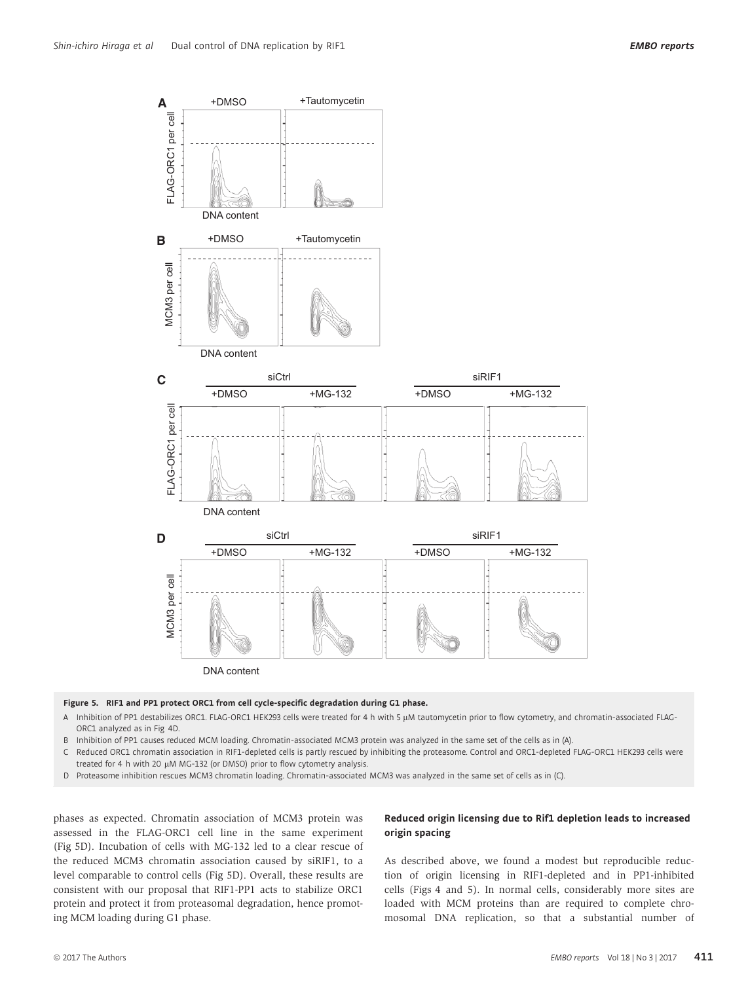

#### Figure 5. RIF1 and PP1 protect ORC1 from cell cycle-specific degradation during G1 phase.

- A Inhibition of PP1 destabilizes ORC1. FLAG-ORC1 HEK293 cells were treated for 4 h with 5 µM tautomycetin prior to flow cytometry, and chromatin-associated FLAG-ORC1 analyzed as in Fig 4D.
- B Inhibition of PP1 causes reduced MCM loading. Chromatin-associated MCM3 protein was analyzed in the same set of the cells as in (A).
- Reduced ORC1 chromatin association in RIF1-depleted cells is partly rescued by inhibiting the proteasome. Control and ORC1-depleted FLAG-ORC1 HEK293 cells were treated for 4 h with 20 µM MG-132 (or DMSO) prior to flow cytometry analysis.
- D Proteasome inhibition rescues MCM3 chromatin loading. Chromatin-associated MCM3 was analyzed in the same set of cells as in (C).

phases as expected. Chromatin association of MCM3 protein was assessed in the FLAG-ORC1 cell line in the same experiment (Fig 5D). Incubation of cells with MG-132 led to a clear rescue of the reduced MCM3 chromatin association caused by siRIF1, to a level comparable to control cells (Fig 5D). Overall, these results are consistent with our proposal that RIF1-PP1 acts to stabilize ORC1 protein and protect it from proteasomal degradation, hence promoting MCM loading during G1 phase.

#### Reduced origin licensing due to Rif1 depletion leads to increased origin spacing

As described above, we found a modest but reproducible reduction of origin licensing in RIF1-depleted and in PP1-inhibited cells (Figs 4 and 5). In normal cells, considerably more sites are loaded with MCM proteins than are required to complete chromosomal DNA replication, so that a substantial number of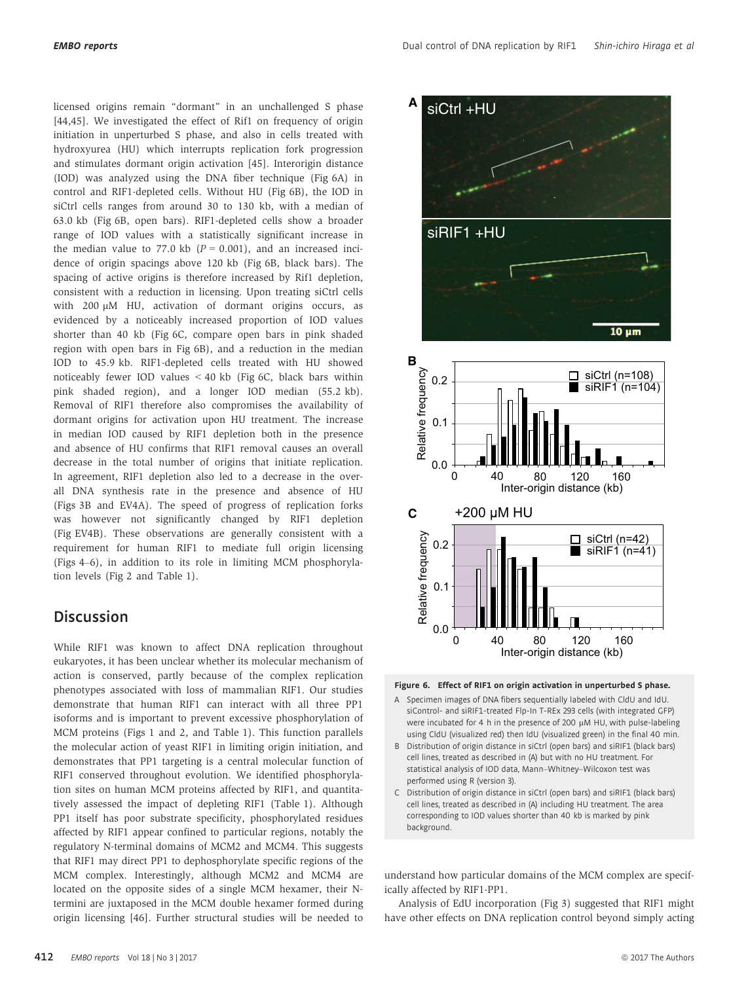licensed origins remain "dormant" in an unchallenged S phase [44,45]. We investigated the effect of Rif1 on frequency of origin initiation in unperturbed S phase, and also in cells treated with hydroxyurea (HU) which interrupts replication fork progression and stimulates dormant origin activation [45]. Interorigin distance (IOD) was analyzed using the DNA fiber technique (Fig 6A) in control and RIF1-depleted cells. Without HU (Fig 6B), the IOD in siCtrl cells ranges from around 30 to 130 kb, with a median of 63.0 kb (Fig 6B, open bars). RIF1-depleted cells show a broader range of IOD values with a statistically significant increase in the median value to 77.0 kb  $(P = 0.001)$ , and an increased incidence of origin spacings above 120 kb (Fig 6B, black bars). The spacing of active origins is therefore increased by Rif1 depletion, consistent with a reduction in licensing. Upon treating siCtrl cells with 200 µM HU, activation of dormant origins occurs, as evidenced by a noticeably increased proportion of IOD values shorter than 40 kb (Fig 6C, compare open bars in pink shaded region with open bars in Fig 6B), and a reduction in the median IOD to 45.9 kb. RIF1-depleted cells treated with HU showed noticeably fewer IOD values < 40 kb (Fig 6C, black bars within pink shaded region), and a longer IOD median (55.2 kb). Removal of RIF1 therefore also compromises the availability of dormant origins for activation upon HU treatment. The increase in median IOD caused by RIF1 depletion both in the presence and absence of HU confirms that RIF1 removal causes an overall decrease in the total number of origins that initiate replication. In agreement, RIF1 depletion also led to a decrease in the overall DNA synthesis rate in the presence and absence of HU (Figs 3B and EV4A). The speed of progress of replication forks was however not significantly changed by RIF1 depletion (Fig EV4B). These observations are generally consistent with a requirement for human RIF1 to mediate full origin licensing (Figs 4–6), in addition to its role in limiting MCM phosphorylation levels (Fig 2 and Table 1).

## **Discussion**

While RIF1 was known to affect DNA replication throughout eukaryotes, it has been unclear whether its molecular mechanism of action is conserved, partly because of the complex replication phenotypes associated with loss of mammalian RIF1. Our studies demonstrate that human RIF1 can interact with all three PP1 isoforms and is important to prevent excessive phosphorylation of MCM proteins (Figs 1 and 2, and Table 1). This function parallels the molecular action of yeast RIF1 in limiting origin initiation, and demonstrates that PP1 targeting is a central molecular function of RIF1 conserved throughout evolution. We identified phosphorylation sites on human MCM proteins affected by RIF1, and quantitatively assessed the impact of depleting RIF1 (Table 1). Although PP1 itself has poor substrate specificity, phosphorylated residues affected by RIF1 appear confined to particular regions, notably the regulatory N-terminal domains of MCM2 and MCM4. This suggests that RIF1 may direct PP1 to dephosphorylate specific regions of the MCM complex. Interestingly, although MCM2 and MCM4 are located on the opposite sides of a single MCM hexamer, their Ntermini are juxtaposed in the MCM double hexamer formed during origin licensing [46]. Further structural studies will be needed to





- A Specimen images of DNA fibers sequentially labeled with CldU and IdU. siControl- and siRIF1-treated Flp-In T-REx 293 cells (with integrated GFP) were incubated for 4 h in the presence of 200 µM HU, with pulse-labeling using CldU (visualized red) then IdU (visualized green) in the final 40 min.
- B Distribution of origin distance in siCtrl (open bars) and siRIF1 (black bars) cell lines, treated as described in (A) but with no HU treatment. For statistical analysis of IOD data, Mann–Whitney–Wilcoxon test was performed using R (version 3).
- C Distribution of origin distance in siCtrl (open bars) and siRIF1 (black bars) cell lines, treated as described in (A) including HU treatment. The area corresponding to IOD values shorter than 40 kb is marked by pink background.

understand how particular domains of the MCM complex are specifically affected by RIF1-PP1.

Analysis of EdU incorporation (Fig 3) suggested that RIF1 might have other effects on DNA replication control beyond simply acting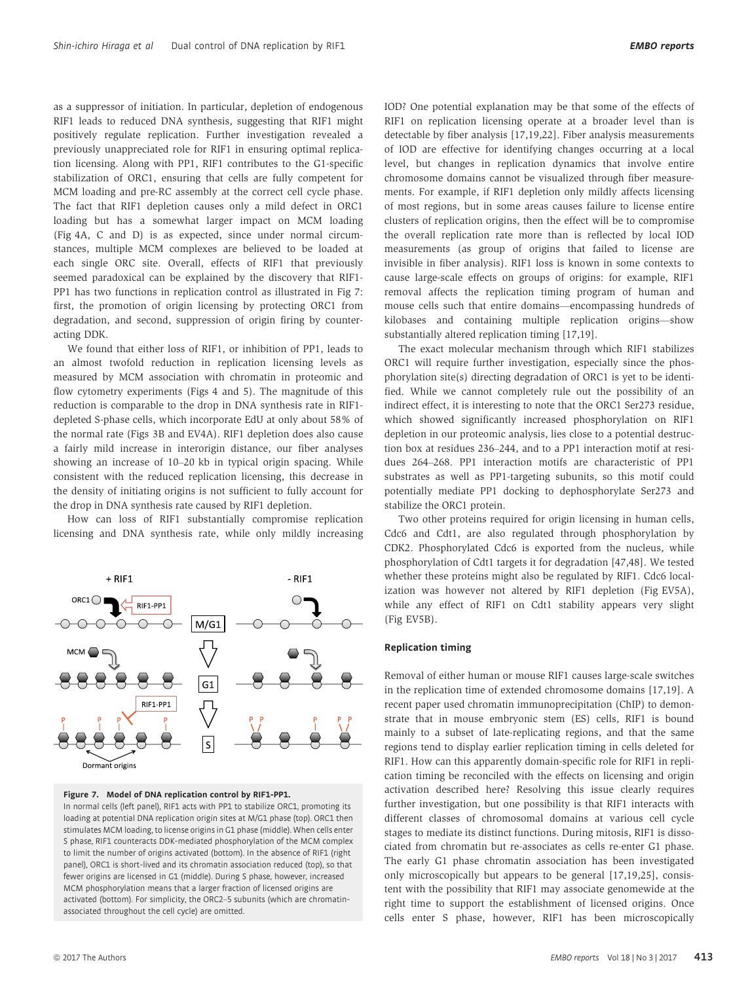as a suppressor of initiation. In particular, depletion of endogenous RIF1 leads to reduced DNA synthesis, suggesting that RIF1 might positively regulate replication. Further investigation revealed a previously unappreciated role for RIF1 in ensuring optimal replication licensing. Along with PP1, RIF1 contributes to the G1-specific stabilization of ORC1, ensuring that cells are fully competent for MCM loading and pre-RC assembly at the correct cell cycle phase. The fact that RIF1 depletion causes only a mild defect in ORC1 loading but has a somewhat larger impact on MCM loading (Fig 4A, C and D) is as expected, since under normal circumstances, multiple MCM complexes are believed to be loaded at each single ORC site. Overall, effects of RIF1 that previously seemed paradoxical can be explained by the discovery that RIF1- PP1 has two functions in replication control as illustrated in Fig 7: first, the promotion of origin licensing by protecting ORC1 from degradation, and second, suppression of origin firing by counteracting DDK.

We found that either loss of RIF1, or inhibition of PP1, leads to an almost twofold reduction in replication licensing levels as measured by MCM association with chromatin in proteomic and flow cytometry experiments (Figs 4 and 5). The magnitude of this reduction is comparable to the drop in DNA synthesis rate in RIF1 depleted S-phase cells, which incorporate EdU at only about 58% of the normal rate (Figs 3B and EV4A). RIF1 depletion does also cause a fairly mild increase in interorigin distance, our fiber analyses showing an increase of 10–20 kb in typical origin spacing. While consistent with the reduced replication licensing, this decrease in the density of initiating origins is not sufficient to fully account for the drop in DNA synthesis rate caused by RIF1 depletion.

How can loss of RIF1 substantially compromise replication licensing and DNA synthesis rate, while only mildly increasing



#### Figure 7. Model of DNA replication control by RIF1-PP1.

In normal cells (left panel), RIF1 acts with PP1 to stabilize ORC1, promoting its loading at potential DNA replication origin sites at M/G1 phase (top). ORC1 then stimulates MCM loading, to license origins in G1 phase (middle). When cells enter S phase, RIF1 counteracts DDK-mediated phosphorylation of the MCM complex to limit the number of origins activated (bottom). In the absence of RIF1 (right panel), ORC1 is short-lived and its chromatin association reduced (top), so that fewer origins are licensed in G1 (middle). During S phase, however, increased MCM phosphorylation means that a larger fraction of licensed origins are activated (bottom). For simplicity, the ORC2–5 subunits (which are chromatinassociated throughout the cell cycle) are omitted.

IOD? One potential explanation may be that some of the effects of RIF1 on replication licensing operate at a broader level than is detectable by fiber analysis [17,19,22]. Fiber analysis measurements of IOD are effective for identifying changes occurring at a local level, but changes in replication dynamics that involve entire chromosome domains cannot be visualized through fiber measurements. For example, if RIF1 depletion only mildly affects licensing of most regions, but in some areas causes failure to license entire clusters of replication origins, then the effect will be to compromise the overall replication rate more than is reflected by local IOD measurements (as group of origins that failed to license are invisible in fiber analysis). RIF1 loss is known in some contexts to cause large-scale effects on groups of origins: for example, RIF1 removal affects the replication timing program of human and mouse cells such that entire domains—encompassing hundreds of kilobases and containing multiple replication origins—show substantially altered replication timing [17,19].

The exact molecular mechanism through which RIF1 stabilizes ORC1 will require further investigation, especially since the phosphorylation site(s) directing degradation of ORC1 is yet to be identified. While we cannot completely rule out the possibility of an indirect effect, it is interesting to note that the ORC1 Ser273 residue, which showed significantly increased phosphorylation on RIF1 depletion in our proteomic analysis, lies close to a potential destruction box at residues 236–244, and to a PP1 interaction motif at residues 264–268. PP1 interaction motifs are characteristic of PP1 substrates as well as PP1-targeting subunits, so this motif could potentially mediate PP1 docking to dephosphorylate Ser273 and stabilize the ORC1 protein.

Two other proteins required for origin licensing in human cells, Cdc6 and Cdt1, are also regulated through phosphorylation by CDK2. Phosphorylated Cdc6 is exported from the nucleus, while phosphorylation of Cdt1 targets it for degradation [47,48]. We tested whether these proteins might also be regulated by RIF1. Cdc6 localization was however not altered by RIF1 depletion (Fig EV5A), while any effect of RIF1 on Cdt1 stability appears very slight (Fig EV5B).

#### Replication timing

Removal of either human or mouse RIF1 causes large-scale switches in the replication time of extended chromosome domains [17,19]. A recent paper used chromatin immunoprecipitation (ChIP) to demonstrate that in mouse embryonic stem (ES) cells, RIF1 is bound mainly to a subset of late-replicating regions, and that the same regions tend to display earlier replication timing in cells deleted for RIF1. How can this apparently domain-specific role for RIF1 in replication timing be reconciled with the effects on licensing and origin activation described here? Resolving this issue clearly requires further investigation, but one possibility is that RIF1 interacts with different classes of chromosomal domains at various cell cycle stages to mediate its distinct functions. During mitosis, RIF1 is dissociated from chromatin but re-associates as cells re-enter G1 phase. The early G1 phase chromatin association has been investigated only microscopically but appears to be general [17,19,25], consistent with the possibility that RIF1 may associate genomewide at the right time to support the establishment of licensed origins. Once cells enter S phase, however, RIF1 has been microscopically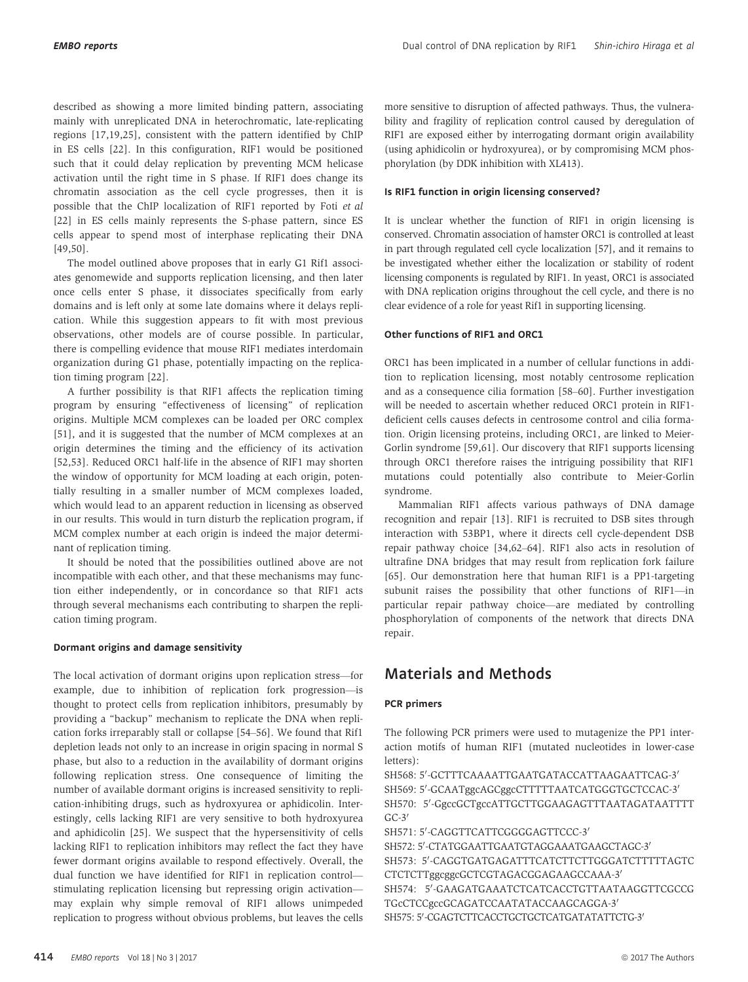described as showing a more limited binding pattern, associating mainly with unreplicated DNA in heterochromatic, late-replicating regions [17,19,25], consistent with the pattern identified by ChIP in ES cells [22]. In this configuration, RIF1 would be positioned such that it could delay replication by preventing MCM helicase activation until the right time in S phase. If RIF1 does change its chromatin association as the cell cycle progresses, then it is possible that the ChIP localization of RIF1 reported by Foti et al [22] in ES cells mainly represents the S-phase pattern, since ES cells appear to spend most of interphase replicating their DNA [49,50].

The model outlined above proposes that in early G1 Rif1 associates genomewide and supports replication licensing, and then later once cells enter S phase, it dissociates specifically from early domains and is left only at some late domains where it delays replication. While this suggestion appears to fit with most previous observations, other models are of course possible. In particular, there is compelling evidence that mouse RIF1 mediates interdomain organization during G1 phase, potentially impacting on the replication timing program [22].

A further possibility is that RIF1 affects the replication timing program by ensuring "effectiveness of licensing" of replication origins. Multiple MCM complexes can be loaded per ORC complex [51], and it is suggested that the number of MCM complexes at an origin determines the timing and the efficiency of its activation [52,53]. Reduced ORC1 half-life in the absence of RIF1 may shorten the window of opportunity for MCM loading at each origin, potentially resulting in a smaller number of MCM complexes loaded, which would lead to an apparent reduction in licensing as observed in our results. This would in turn disturb the replication program, if MCM complex number at each origin is indeed the major determinant of replication timing.

It should be noted that the possibilities outlined above are not incompatible with each other, and that these mechanisms may function either independently, or in concordance so that RIF1 acts through several mechanisms each contributing to sharpen the replication timing program.

#### Dormant origins and damage sensitivity

The local activation of dormant origins upon replication stress—for example, due to inhibition of replication fork progression—is thought to protect cells from replication inhibitors, presumably by providing a "backup" mechanism to replicate the DNA when replication forks irreparably stall or collapse [54–56]. We found that Rif1 depletion leads not only to an increase in origin spacing in normal S phase, but also to a reduction in the availability of dormant origins following replication stress. One consequence of limiting the number of available dormant origins is increased sensitivity to replication-inhibiting drugs, such as hydroxyurea or aphidicolin. Interestingly, cells lacking RIF1 are very sensitive to both hydroxyurea and aphidicolin [25]. We suspect that the hypersensitivity of cells lacking RIF1 to replication inhibitors may reflect the fact they have fewer dormant origins available to respond effectively. Overall, the dual function we have identified for RIF1 in replication control stimulating replication licensing but repressing origin activation may explain why simple removal of RIF1 allows unimpeded replication to progress without obvious problems, but leaves the cells more sensitive to disruption of affected pathways. Thus, the vulnerability and fragility of replication control caused by deregulation of RIF1 are exposed either by interrogating dormant origin availability (using aphidicolin or hydroxyurea), or by compromising MCM phosphorylation (by DDK inhibition with XL413).

#### Is RIF1 function in origin licensing conserved?

It is unclear whether the function of RIF1 in origin licensing is conserved. Chromatin association of hamster ORC1 is controlled at least in part through regulated cell cycle localization [57], and it remains to be investigated whether either the localization or stability of rodent licensing components is regulated by RIF1. In yeast, ORC1 is associated with DNA replication origins throughout the cell cycle, and there is no clear evidence of a role for yeast Rif1 in supporting licensing.

#### Other functions of RIF1 and ORC1

ORC1 has been implicated in a number of cellular functions in addition to replication licensing, most notably centrosome replication and as a consequence cilia formation [58–60]. Further investigation will be needed to ascertain whether reduced ORC1 protein in RIF1 deficient cells causes defects in centrosome control and cilia formation. Origin licensing proteins, including ORC1, are linked to Meier-Gorlin syndrome [59,61]. Our discovery that RIF1 supports licensing through ORC1 therefore raises the intriguing possibility that RIF1 mutations could potentially also contribute to Meier-Gorlin syndrome.

Mammalian RIF1 affects various pathways of DNA damage recognition and repair [13]. RIF1 is recruited to DSB sites through interaction with 53BP1, where it directs cell cycle-dependent DSB repair pathway choice [34,62–64]. RIF1 also acts in resolution of ultrafine DNA bridges that may result from replication fork failure [65]. Our demonstration here that human RIF1 is a PP1-targeting subunit raises the possibility that other functions of RIF1—in particular repair pathway choice—are mediated by controlling phosphorylation of components of the network that directs DNA repair.

### Materials and Methods

#### PCR primers

The following PCR primers were used to mutagenize the PP1 interaction motifs of human RIF1 (mutated nucleotides in lower-case letters):

SH568: 5'-GCTTTCAAAATTGAATGATACCATTAAGAATTCAG-3' SH569: 5'-GCAATggcAGCggcCTTTTTAATCATGGGTGCTCCAC-3' SH570: 5'-GgccGCTgccATTGCTTGGAAGAGTTTAATAGATAATTTT  $GC-3'$ 

SH571: 5'-CAGGTTCATTCGGGGAGTTCCC-3'

SH572: 5'-CTATGGAATTGAATGTAGGAAATGAAGCTAGC-3' SH573: 5'-CAGGTGATGAGATTTCATCTTCTTGGGATCTTTTTAGTC CTCTCTTggcggcGCTCGTAGACGGAGAAGCCAAA-3' SH574: 5'-GAAGATGAAATCTCATCACCTGTTAATAAGGTTCGCCG TGcCTCCgccGCAGATCCAATATACCAAGCAGGA-3' SH575: 5'-CGAGTCTTCACCTGCTGCTCATGATATATTCTG-3'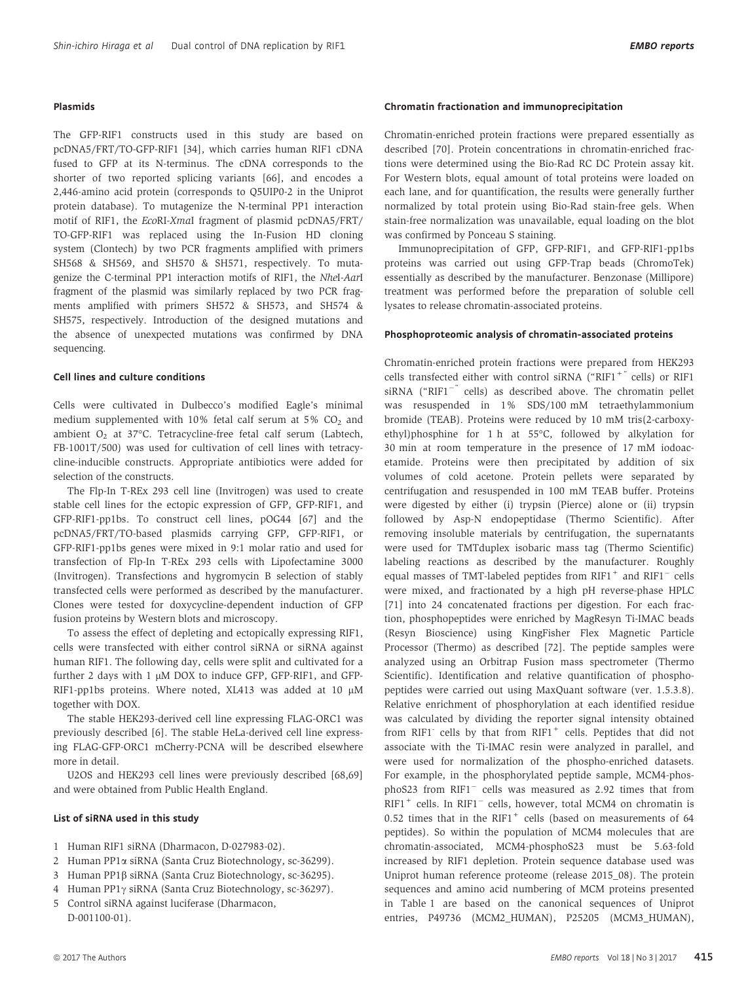#### Plasmids

The GFP-RIF1 constructs used in this study are based on pcDNA5/FRT/TO-GFP-RIF1 [34], which carries human RIF1 cDNA fused to GFP at its N-terminus. The cDNA corresponds to the shorter of two reported splicing variants [66], and encodes a 2,446-amino acid protein (corresponds to Q5UIP0-2 in the Uniprot protein database). To mutagenize the N-terminal PP1 interaction motif of RIF1, the EcoRI-XmaI fragment of plasmid pcDNA5/FRT/ TO-GFP-RIF1 was replaced using the In-Fusion HD cloning system (Clontech) by two PCR fragments amplified with primers SH568 & SH569, and SH570 & SH571, respectively. To mutagenize the C-terminal PP1 interaction motifs of RIF1, the NheI-AarI fragment of the plasmid was similarly replaced by two PCR fragments amplified with primers SH572 & SH573, and SH574 & SH575, respectively. Introduction of the designed mutations and the absence of unexpected mutations was confirmed by DNA sequencing.

#### Cell lines and culture conditions

Cells were cultivated in Dulbecco's modified Eagle's minimal medium supplemented with  $10\%$  fetal calf serum at 5%  $CO<sub>2</sub>$  and ambient  $O_2$  at 37°C. Tetracycline-free fetal calf serum (Labtech, FB-1001T/500) was used for cultivation of cell lines with tetracycline-inducible constructs. Appropriate antibiotics were added for selection of the constructs.

The Flp-In T-REx 293 cell line (Invitrogen) was used to create stable cell lines for the ectopic expression of GFP, GFP-RIF1, and GFP-RIF1-pp1bs. To construct cell lines, pOG44 [67] and the pcDNA5/FRT/TO-based plasmids carrying GFP, GFP-RIF1, or GFP-RIF1-pp1bs genes were mixed in 9:1 molar ratio and used for transfection of Flp-In T-REx 293 cells with Lipofectamine 3000 (Invitrogen). Transfections and hygromycin B selection of stably transfected cells were performed as described by the manufacturer. Clones were tested for doxycycline-dependent induction of GFP fusion proteins by Western blots and microscopy.

To assess the effect of depleting and ectopically expressing RIF1, cells were transfected with either control siRNA or siRNA against human RIF1. The following day, cells were split and cultivated for a further 2 days with 1  $\mu$ M DOX to induce GFP, GFP-RIF1, and GFP-RIF1-pp1bs proteins. Where noted, XL413 was added at 10  $\mu$ M together with DOX.

The stable HEK293-derived cell line expressing FLAG-ORC1 was previously described [6]. The stable HeLa-derived cell line expressing FLAG-GFP-ORC1 mCherry-PCNA will be described elsewhere more in detail.

U2OS and HEK293 cell lines were previously described [68,69] and were obtained from Public Health England.

#### List of siRNA used in this study

- 1 Human RIF1 siRNA (Dharmacon, D-027983-02).
- 2 Human PP1 $\alpha$  siRNA (Santa Cruz Biotechnology, sc-36299).
- 3 Human PP1b siRNA (Santa Cruz Biotechnology, sc-36295).
- 4 Human PP1 $\gamma$  siRNA (Santa Cruz Biotechnology, sc-36297).
- 5 Control siRNA against luciferase (Dharmacon, D-001100-01).

#### Chromatin fractionation and immunoprecipitation

Chromatin-enriched protein fractions were prepared essentially as described [70]. Protein concentrations in chromatin-enriched fractions were determined using the Bio-Rad RC DC Protein assay kit. For Western blots, equal amount of total proteins were loaded on each lane, and for quantification, the results were generally further normalized by total protein using Bio-Rad stain-free gels. When stain-free normalization was unavailable, equal loading on the blot was confirmed by Ponceau S staining.

Immunoprecipitation of GFP, GFP-RIF1, and GFP-RIF1-pp1bs proteins was carried out using GFP-Trap beads (ChromoTek) essentially as described by the manufacturer. Benzonase (Millipore) treatment was performed before the preparation of soluble cell lysates to release chromatin-associated proteins.

#### Phosphoproteomic analysis of chromatin-associated proteins

Chromatin-enriched protein fractions were prepared from HEK293 cells transfected either with control siRNA ("RIF1<sup>+"</sup> cells) or RIF1 siRNA ("RIF1<sup>-"</sup> cells) as described above. The chromatin pellet was resuspended in 1% SDS/100 mM tetraethylammonium bromide (TEAB). Proteins were reduced by 10 mM tris(2-carboxyethyl)phosphine for 1 h at 55°C, followed by alkylation for 30 min at room temperature in the presence of 17 mM iodoacetamide. Proteins were then precipitated by addition of six volumes of cold acetone. Protein pellets were separated by centrifugation and resuspended in 100 mM TEAB buffer. Proteins were digested by either (i) trypsin (Pierce) alone or (ii) trypsin followed by Asp-N endopeptidase (Thermo Scientific). After removing insoluble materials by centrifugation, the supernatants were used for TMTduplex isobaric mass tag (Thermo Scientific) labeling reactions as described by the manufacturer. Roughly equal masses of TMT-labeled peptides from  $RIF1^+$  and  $RIF1^-$  cells were mixed, and fractionated by a high pH reverse-phase HPLC [71] into 24 concatenated fractions per digestion. For each fraction, phosphopeptides were enriched by MagResyn Ti-IMAC beads (Resyn Bioscience) using KingFisher Flex Magnetic Particle Processor (Thermo) as described [72]. The peptide samples were analyzed using an Orbitrap Fusion mass spectrometer (Thermo Scientific). Identification and relative quantification of phosphopeptides were carried out using MaxQuant software (ver. 1.5.3.8). Relative enrichment of phosphorylation at each identified residue was calculated by dividing the reporter signal intensity obtained from RIF1<sup>-</sup> cells by that from RIF1<sup>+</sup> cells. Peptides that did not associate with the Ti-IMAC resin were analyzed in parallel, and were used for normalization of the phospho-enriched datasets. For example, in the phosphorylated peptide sample, MCM4-phos $phoS23$  from  $RIF1^-$  cells was measured as 2.92 times that from RIF1<sup>+</sup> cells. In RIF1<sup>-</sup> cells, however, total MCM4 on chromatin is 0.52 times that in the  $RIF1^+$  cells (based on measurements of 64 peptides). So within the population of MCM4 molecules that are chromatin-associated, MCM4-phosphoS23 must be 5.63-fold increased by RIF1 depletion. Protein sequence database used was Uniprot human reference proteome (release 2015\_08). The protein sequences and amino acid numbering of MCM proteins presented in Table 1 are based on the canonical sequences of Uniprot entries, P49736 (MCM2\_HUMAN), P25205 (MCM3\_HUMAN),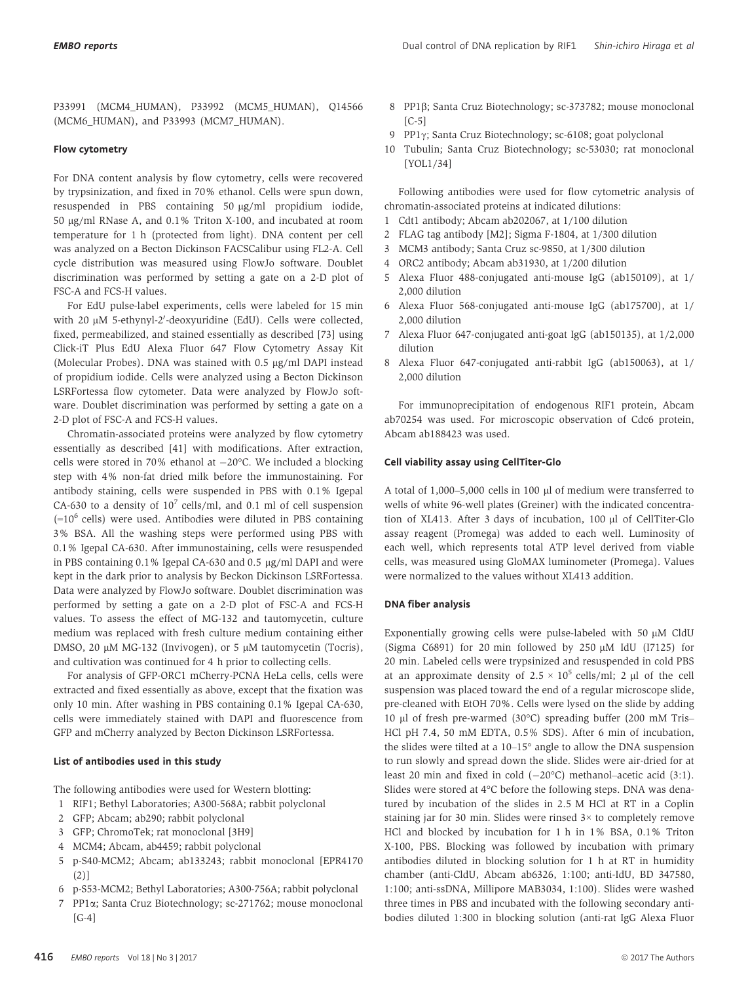P33991 (MCM4\_HUMAN), P33992 (MCM5\_HUMAN), Q14566 (MCM6\_HUMAN), and P33993 (MCM7\_HUMAN).

#### Flow cytometry

For DNA content analysis by flow cytometry, cells were recovered by trypsinization, and fixed in 70% ethanol. Cells were spun down, resuspended in PBS containing 50 µg/ml propidium iodide, 50 lg/ml RNase A, and 0.1% Triton X-100, and incubated at room temperature for 1 h (protected from light). DNA content per cell was analyzed on a Becton Dickinson FACSCalibur using FL2-A. Cell cycle distribution was measured using FlowJo software. Doublet discrimination was performed by setting a gate on a 2-D plot of FSC-A and FCS-H values.

For EdU pulse-label experiments, cells were labeled for 15 min with 20 μM 5-ethynyl-2′-deoxyuridine (EdU). Cells were collected, fixed, permeabilized, and stained essentially as described [73] using Click-iT Plus EdU Alexa Fluor 647 Flow Cytometry Assay Kit (Molecular Probes). DNA was stained with  $0.5 \mu g/ml$  DAPI instead of propidium iodide. Cells were analyzed using a Becton Dickinson LSRFortessa flow cytometer. Data were analyzed by FlowJo software. Doublet discrimination was performed by setting a gate on a 2-D plot of FSC-A and FCS-H values.

Chromatin-associated proteins were analyzed by flow cytometry essentially as described [41] with modifications. After extraction, cells were stored in  $70\%$  ethanol at  $-20\degree$ C. We included a blocking step with 4% non-fat dried milk before the immunostaining. For antibody staining, cells were suspended in PBS with 0.1% Igepal CA-630 to a density of  $10^7$  cells/ml, and 0.1 ml of cell suspension  $(=10^6 \text{ cells})$  were used. Antibodies were diluted in PBS containing 3% BSA. All the washing steps were performed using PBS with 0.1% Igepal CA-630. After immunostaining, cells were resuspended in PBS containing  $0.1\%$  Igepal CA-630 and  $0.5 \mu g/ml$  DAPI and were kept in the dark prior to analysis by Beckon Dickinson LSRFortessa. Data were analyzed by FlowJo software. Doublet discrimination was performed by setting a gate on a 2-D plot of FSC-A and FCS-H values. To assess the effect of MG-132 and tautomycetin, culture medium was replaced with fresh culture medium containing either DMSO, 20 µM MG-132 (Invivogen), or 5 µM tautomycetin (Tocris), and cultivation was continued for 4 h prior to collecting cells.

For analysis of GFP-ORC1 mCherry-PCNA HeLa cells, cells were extracted and fixed essentially as above, except that the fixation was only 10 min. After washing in PBS containing 0.1% Igepal CA-630, cells were immediately stained with DAPI and fluorescence from GFP and mCherry analyzed by Becton Dickinson LSRFortessa.

#### List of antibodies used in this study

The following antibodies were used for Western blotting:

- 1 RIF1; Bethyl Laboratories; A300-568A; rabbit polyclonal
- 2 GFP; Abcam; ab290; rabbit polyclonal
- 3 GFP; ChromoTek; rat monoclonal [3H9]
- 4 MCM4; Abcam, ab4459; rabbit polyclonal
- 5 p-S40-MCM2; Abcam; ab133243; rabbit monoclonal [EPR4170 (2)]
- 6 p-S53-MCM2; Bethyl Laboratories; A300-756A; rabbit polyclonal
- 7 PP1a; Santa Cruz Biotechnology; sc-271762; mouse monoclonal [G-4]
- 8 PP1b; Santa Cruz Biotechnology; sc-373782; mouse monoclonal  $[C-5]$
- 9 PP1 $\gamma$ ; Santa Cruz Biotechnology; sc-6108; goat polyclonal
- 10 Tubulin; Santa Cruz Biotechnology; sc-53030; rat monoclonal [YOL1/34]

Following antibodies were used for flow cytometric analysis of chromatin-associated proteins at indicated dilutions:

- 1 Cdt1 antibody; Abcam ab202067, at 1/100 dilution
- 2 FLAG tag antibody [M2]; Sigma F-1804, at 1/300 dilution
- 3 MCM3 antibody; Santa Cruz sc-9850, at 1/300 dilution
- 4 ORC2 antibody; Abcam ab31930, at 1/200 dilution
- 5 Alexa Fluor 488-conjugated anti-mouse IgG (ab150109), at 1/ 2,000 dilution
- 6 Alexa Fluor 568-conjugated anti-mouse IgG (ab175700), at 1/ 2,000 dilution
- 7 Alexa Fluor 647-conjugated anti-goat IgG (ab150135), at 1/2,000 dilution
- 8 Alexa Fluor 647-conjugated anti-rabbit IgG (ab150063), at 1/ 2,000 dilution

For immunoprecipitation of endogenous RIF1 protein, Abcam ab70254 was used. For microscopic observation of Cdc6 protein, Abcam ab188423 was used.

#### Cell viability assay using CellTiter-Glo

A total of 1,000-5,000 cells in 100 µl of medium were transferred to wells of white 96-well plates (Greiner) with the indicated concentration of XL413. After 3 days of incubation, 100 µl of CellTiter-Glo assay reagent (Promega) was added to each well. Luminosity of each well, which represents total ATP level derived from viable cells, was measured using GloMAX luminometer (Promega). Values were normalized to the values without XL413 addition.

#### DNA fiber analysis

Exponentially growing cells were pulse-labeled with 50  $\mu$ M CldU (Sigma C6891) for 20 min followed by 250  $\mu$ M IdU (I7125) for 20 min. Labeled cells were trypsinized and resuspended in cold PBS at an approximate density of  $2.5 \times 10^5$  cells/ml; 2 µl of the cell suspension was placed toward the end of a regular microscope slide, pre-cleaned with EtOH 70%. Cells were lysed on the slide by adding 10 ll of fresh pre-warmed (30°C) spreading buffer (200 mM Tris– HCl pH 7.4, 50 mM EDTA, 0.5% SDS). After 6 min of incubation, the slides were tilted at a 10–15° angle to allow the DNA suspension to run slowly and spread down the slide. Slides were air-dried for at least 20 min and fixed in cold  $(-20^{\circ}C)$  methanol–acetic acid  $(3:1)$ . Slides were stored at 4°C before the following steps. DNA was denatured by incubation of the slides in 2.5 M HCl at RT in a Coplin staining jar for 30 min. Slides were rinsed 3× to completely remove HCl and blocked by incubation for 1 h in 1% BSA, 0.1% Triton X-100, PBS. Blocking was followed by incubation with primary antibodies diluted in blocking solution for 1 h at RT in humidity chamber (anti-CldU, Abcam ab6326, 1:100; anti-IdU, BD 347580, 1:100; anti-ssDNA, Millipore MAB3034, 1:100). Slides were washed three times in PBS and incubated with the following secondary antibodies diluted 1:300 in blocking solution (anti-rat IgG Alexa Fluor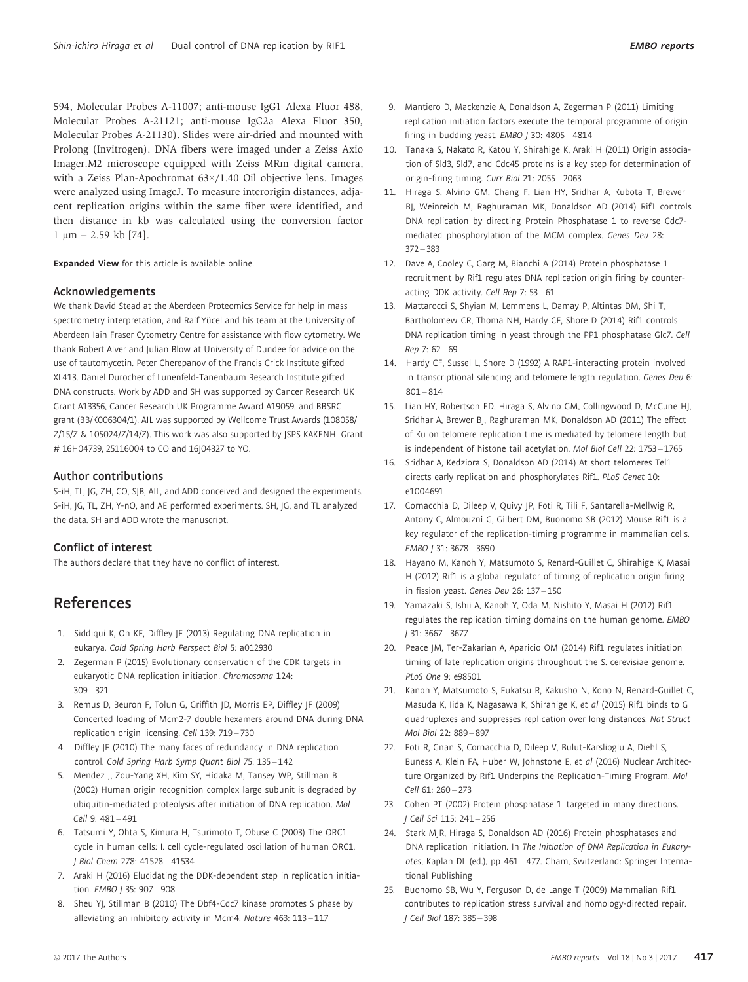594, Molecular Probes A-11007; anti-mouse IgG1 Alexa Fluor 488, Molecular Probes A-21121; anti-mouse IgG2a Alexa Fluor 350, Molecular Probes A-21130). Slides were air-dried and mounted with Prolong (Invitrogen). DNA fibers were imaged under a Zeiss Axio Imager.M2 microscope equipped with Zeiss MRm digital camera, with a Zeiss Plan-Apochromat 63×/1.40 Oil objective lens. Images were analyzed using ImageJ. To measure interorigin distances, adjacent replication origins within the same fiber were identified, and then distance in kb was calculated using the conversion factor  $1 \text{ um} = 2.59 \text{ kb}$  [74].

Expanded View for this article is available [online.](https://doi.org/10.15252/embr.201641983)

#### Acknowledgements

We thank David Stead at the Aberdeen Proteomics Service for help in mass spectrometry interpretation, and Raif Yücel and his team at the University of Aberdeen Iain Fraser Cytometry Centre for assistance with flow cytometry. We thank Robert Alver and Julian Blow at University of Dundee for advice on the use of tautomycetin. Peter Cherepanov of the Francis Crick Institute gifted XL413. Daniel Durocher of Lunenfeld-Tanenbaum Research Institute gifted DNA constructs. Work by ADD and SH was supported by Cancer Research UK Grant A13356, Cancer Research UK Programme Award A19059, and BBSRC grant (BB/K006304/1). AIL was supported by Wellcome Trust Awards (108058/ Z/15/Z & 105024/Z/14/Z). This work was also supported by JSPS KAKENHI Grant # 16H04739, 25116004 to CO and 16J04327 to YO.

#### Author contributions

S-iH, TL, JG, ZH, CO, SJB, AIL, and ADD conceived and designed the experiments. S-iH, JG, TL, ZH, Y-nO, and AE performed experiments. SH, JG, and TL analyzed the data. SH and ADD wrote the manuscript.

#### Conflict of interest

The authors declare that they have no conflict of interest.

## References

- 1. Siddiqui K, On KF, Diffley JF (2013) Regulating DNA replication in eukarya. Cold Spring Harb Perspect Biol 5: a012930
- 2. Zegerman P (2015) Evolutionary conservation of the CDK targets in eukaryotic DNA replication initiation. Chromosoma 124: 309 – 321
- 3. Remus D, Beuron F, Tolun G, Griffith JD, Morris EP, Diffley JF (2009) Concerted loading of Mcm2-7 double hexamers around DNA during DNA replication origin licensing. Cell 139: 719 – 730
- 4. Diffley JF (2010) The many faces of redundancy in DNA replication control. Cold Spring Harb Symp Quant Biol 75: 135 – 142
- 5. Mendez J, Zou-Yang XH, Kim SY, Hidaka M, Tansey WP, Stillman B (2002) Human origin recognition complex large subunit is degraded by ubiquitin-mediated proteolysis after initiation of DNA replication. Mol Cell 9: 481-491
- 6. Tatsumi Y, Ohta S, Kimura H, Tsurimoto T, Obuse C (2003) The ORC1 cycle in human cells: I. cell cycle-regulated oscillation of human ORC1. J Biol Chem 278: 41528 – 41534
- 7. Araki H (2016) Elucidating the DDK-dependent step in replication initiation. EMBO / 35: 907-908
- 8. Sheu YJ, Stillman B (2010) The Dbf4-Cdc7 kinase promotes S phase by alleviating an inhibitory activity in Mcm4. Nature 463: 113 – 117
- 9. Mantiero D, Mackenzie A, Donaldson A, Zegerman P (2011) Limiting replication initiation factors execute the temporal programme of origin firing in budding yeast. EMBO J 30: 4805 - 4814
- 10. Tanaka S, Nakato R, Katou Y, Shirahige K, Araki H (2011) Origin association of Sld3, Sld7, and Cdc45 proteins is a key step for determination of origin-firing timing. Curr Biol 21: 2055 – 2063
- 11. Hiraga S, Alvino GM, Chang F, Lian HY, Sridhar A, Kubota T, Brewer BJ, Weinreich M, Raghuraman MK, Donaldson AD (2014) Rif1 controls DNA replication by directing Protein Phosphatase 1 to reverse Cdc7 mediated phosphorylation of the MCM complex. Genes Dev 28: 372 – 383
- 12. Dave A, Cooley C, Garg M, Bianchi A (2014) Protein phosphatase 1 recruitment by Rif1 regulates DNA replication origin firing by counteracting DDK activity. Cell Rep 7: 53 – 61
- 13. Mattarocci S, Shyian M, Lemmens L, Damay P, Altintas DM, Shi T, Bartholomew CR, Thoma NH, Hardy CF, Shore D (2014) Rif1 controls DNA replication timing in yeast through the PP1 phosphatase Glc7. Cell Rep 7: 62 – 69
- 14. Hardy CF, Sussel L, Shore D (1992) A RAP1-interacting protein involved in transcriptional silencing and telomere length regulation. Genes Dev 6:  $801 - 814$
- 15. Lian HY, Robertson ED, Hiraga S, Alvino GM, Collingwood D, McCune HJ, Sridhar A, Brewer BJ, Raghuraman MK, Donaldson AD (2011) The effect of Ku on telomere replication time is mediated by telomere length but is independent of histone tail acetylation. Mol Biol Cell 22: 1753 – 1765
- 16. Sridhar A, Kedziora S, Donaldson AD (2014) At short telomeres Tel1 directs early replication and phosphorylates Rif1. PLoS Genet 10: e1004691
- 17. Cornacchia D, Dileep V, Quivy JP, Foti R, Tili F, Santarella-Mellwig R, Antony C, Almouzni G, Gilbert DM, Buonomo SB (2012) Mouse Rif1 is a key regulator of the replication-timing programme in mammalian cells. EMBO J 31: 3678 – 3690
- 18. Hayano M, Kanoh Y, Matsumoto S, Renard-Guillet C, Shirahige K, Masai H (2012) Rif1 is a global regulator of timing of replication origin firing in fission yeast. Genes Dev 26: 137 – 150
- 19. Yamazaki S, Ishii A, Kanoh Y, Oda M, Nishito Y, Masai H (2012) Rif1 regulates the replication timing domains on the human genome. EMBO J 31: 3667 – 3677
- 20. Peace JM, Ter-Zakarian A, Aparicio OM (2014) Rif1 regulates initiation timing of late replication origins throughout the S. cerevisiae genome. PLoS One 9: e98501
- 21. Kanoh Y, Matsumoto S, Fukatsu R, Kakusho N, Kono N, Renard-Guillet C, Masuda K, Iida K, Nagasawa K, Shirahige K, et al (2015) Rif1 binds to G quadruplexes and suppresses replication over long distances. Nat Struct Mol Biol 22: 889 – 897
- 22. Foti R, Gnan S, Cornacchia D, Dileep V, Bulut-Karslioglu A, Diehl S, Buness A, Klein FA, Huber W, Johnstone E, et al (2016) Nuclear Architecture Organized by Rif1 Underpins the Replication-Timing Program. Mol Cell 61: 260 – 273
- 23. Cohen PT (2002) Protein phosphatase 1–targeted in many directions. J Cell Sci 115: 241 – 256
- 24. Stark MJR, Hiraga S, Donaldson AD (2016) Protein phosphatases and DNA replication initiation. In The Initiation of DNA Replication in Eukaryotes, Kaplan DL (ed.), pp 461 – 477. Cham, Switzerland: Springer International Publishing
- 25. Buonomo SB, Wu Y, Ferguson D, de Lange T (2009) Mammalian Rif1 contributes to replication stress survival and homology-directed repair. J Cell Biol 187: 385 – 398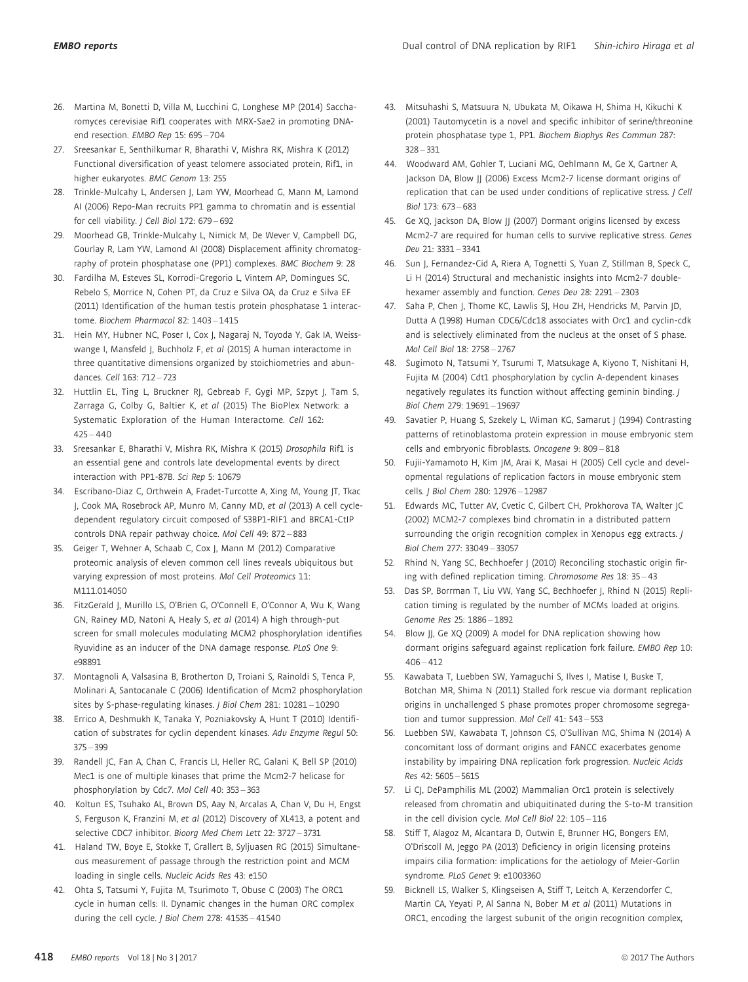- 26. Martina M, Bonetti D, Villa M, Lucchini G, Longhese MP (2014) Saccharomyces cerevisiae Rif1 cooperates with MRX-Sae2 in promoting DNAend resection. EMBO Rep 15: 695 – 704
- 27. Sreesankar E, Senthilkumar R, Bharathi V, Mishra RK, Mishra K (2012) Functional diversification of yeast telomere associated protein, Rif1, in higher eukaryotes. BMC Genom 13: 255
- 28. Trinkle-Mulcahy L, Andersen J, Lam YW, Moorhead G, Mann M, Lamond AI (2006) Repo-Man recruits PP1 gamma to chromatin and is essential for cell viability. J Cell Biol 172: 679-692
- 29. Moorhead GB, Trinkle-Mulcahy L, Nimick M, De Wever V, Campbell DG, Gourlay R, Lam YW, Lamond AI (2008) Displacement affinity chromatography of protein phosphatase one (PP1) complexes. BMC Biochem 9: 28
- 30. Fardilha M, Esteves SL, Korrodi-Gregorio L, Vintem AP, Domingues SC, Rebelo S, Morrice N, Cohen PT, da Cruz e Silva OA, da Cruz e Silva EF (2011) Identification of the human testis protein phosphatase 1 interactome. Biochem Pharmacol 82: 1403 – 1415
- 31. Hein MY, Hubner NC, Poser I, Cox J, Nagaraj N, Toyoda Y, Gak IA, Weisswange I, Mansfeld J, Buchholz F, et al (2015) A human interactome in three quantitative dimensions organized by stoichiometries and abundances. Cell 163: 712 – 723
- 32. Huttlin EL, Ting L, Bruckner RJ, Gebreab F, Gygi MP, Szpyt J, Tam S, Zarraga G, Colby G, Baltier K, et al (2015) The BioPlex Network: a Systematic Exploration of the Human Interactome. Cell 162:  $425 - 440$
- 33. Sreesankar E, Bharathi V, Mishra RK, Mishra K (2015) Drosophila Rif1 is an essential gene and controls late developmental events by direct interaction with PP1-87B. Sci Rep 5: 10679
- 34. Escribano-Diaz C, Orthwein A, Fradet-Turcotte A, Xing M, Young JT, Tkac J, Cook MA, Rosebrock AP, Munro M, Canny MD, et al (2013) A cell cycledependent regulatory circuit composed of 53BP1-RIF1 and BRCA1-CtIP controls DNA repair pathway choice. Mol Cell 49: 872 – 883
- 35. Geiger T, Wehner A, Schaab C, Cox J, Mann M (2012) Comparative proteomic analysis of eleven common cell lines reveals ubiquitous but varying expression of most proteins. Mol Cell Proteomics 11: M111.014050
- 36. FitzGerald J, Murillo LS, O'Brien G, O'Connell E, O'Connor A, Wu K, Wang GN, Rainey MD, Natoni A, Healy S, et al (2014) A high through-put screen for small molecules modulating MCM2 phosphorylation identifies Ryuvidine as an inducer of the DNA damage response. PLoS One 9: e98891
- 37. Montagnoli A, Valsasina B, Brotherton D, Troiani S, Rainoldi S, Tenca P, Molinari A, Santocanale C (2006) Identification of Mcm2 phosphorylation sites by S-phase-regulating kinases. J Biol Chem 281: 10281 – 10290
- 38. Errico A, Deshmukh K, Tanaka Y, Pozniakovsky A, Hunt T (2010) Identification of substrates for cyclin dependent kinases. Adv Enzyme Regul 50: 375 – 399
- 39. Randell JC, Fan A, Chan C, Francis LI, Heller RC, Galani K, Bell SP (2010) Mec1 is one of multiple kinases that prime the Mcm2-7 helicase for phosphorylation by Cdc7. Mol Cell 40: 353 – 363
- 40. Koltun ES, Tsuhako AL, Brown DS, Aay N, Arcalas A, Chan V, Du H, Engst S, Ferguson K, Franzini M, et al (2012) Discovery of XL413, a potent and selective CDC7 inhibitor. Bioorg Med Chem Lett 22: 3727 – 3731
- 41. Haland TW, Boye E, Stokke T, Grallert B, Syljuasen RG (2015) Simultaneous measurement of passage through the restriction point and MCM loading in single cells. Nucleic Acids Res 43: e150
- 42. Ohta S, Tatsumi Y, Fujita M, Tsurimoto T, Obuse C (2003) The ORC1 cycle in human cells: II. Dynamic changes in the human ORC complex during the cell cycle. J Biol Chem 278: 41535 - 41540
- 43. Mitsuhashi S, Matsuura N, Ubukata M, Oikawa H, Shima H, Kikuchi K (2001) Tautomycetin is a novel and specific inhibitor of serine/threonine protein phosphatase type 1, PP1. Biochem Biophys Res Commun 287: 328 – 331
- 44. Woodward AM, Gohler T, Luciani MG, Oehlmann M, Ge X, Gartner A, Jackson DA, Blow JJ (2006) Excess Mcm2-7 license dormant origins of replication that can be used under conditions of replicative stress. J Cell Biol 173: 673 – 683
- 45. Ge XQ, Jackson DA, Blow JJ (2007) Dormant origins licensed by excess Mcm2-7 are required for human cells to survive replicative stress. Genes Dev 21: 3331 – 3341
- 46. Sun J, Fernandez-Cid A, Riera A, Tognetti S, Yuan Z, Stillman B, Speck C, Li H (2014) Structural and mechanistic insights into Mcm2-7 doublehexamer assembly and function. Genes Dev 28: 2291 – 2303
- 47. Saha P, Chen J, Thome KC, Lawlis SJ, Hou ZH, Hendricks M, Parvin JD, Dutta A (1998) Human CDC6/Cdc18 associates with Orc1 and cyclin-cdk and is selectively eliminated from the nucleus at the onset of S phase. Mol Cell Biol 18: 2758 – 2767
- 48. Sugimoto N, Tatsumi Y, Tsurumi T, Matsukage A, Kiyono T, Nishitani H, Fujita M (2004) Cdt1 phosphorylation by cyclin A-dependent kinases negatively regulates its function without affecting geminin binding. J Biol Chem 279: 19691 – 19697
- 49. Savatier P, Huang S, Szekely L, Wiman KG, Samarut J (1994) Contrasting patterns of retinoblastoma protein expression in mouse embryonic stem cells and embryonic fibroblasts. Oncogene 9: 809 – 818
- 50. Fujii-Yamamoto H, Kim JM, Arai K, Masai H (2005) Cell cycle and developmental regulations of replication factors in mouse embryonic stem cells. J Biol Chem 280: 12976 – 12987
- 51. Edwards MC, Tutter AV, Cvetic C, Gilbert CH, Prokhorova TA, Walter JC (2002) MCM2-7 complexes bind chromatin in a distributed pattern surrounding the origin recognition complex in Xenopus egg extracts. J Biol Chem 277: 33049 – 33057
- 52. Rhind N, Yang SC, Bechhoefer | (2010) Reconciling stochastic origin firing with defined replication timing. Chromosome Res 18: 35 – 43
- 53. Das SP, Borrman T, Liu VW, Yang SC, Bechhoefer J, Rhind N (2015) Replication timing is regulated by the number of MCMs loaded at origins. Genome Res 25: 1886 – 1892
- 54. Blow JJ, Ge XQ (2009) A model for DNA replication showing how dormant origins safeguard against replication fork failure. EMBO Rep 10:  $406 - 412$
- 55. Kawabata T, Luebben SW, Yamaguchi S, Ilves I, Matise I, Buske T, Botchan MR, Shima N (2011) Stalled fork rescue via dormant replication origins in unchallenged S phase promotes proper chromosome segregation and tumor suppression. Mol Cell 41: 543 – 553
- 56. Luebben SW, Kawabata T, Johnson CS, O'Sullivan MG, Shima N (2014) A concomitant loss of dormant origins and FANCC exacerbates genome instability by impairing DNA replication fork progression. Nucleic Acids Res 42: 5605 – 5615
- 57. Li CJ, DePamphilis ML (2002) Mammalian Orc1 protein is selectively released from chromatin and ubiquitinated during the S-to-M transition in the cell division cycle. Mol Cell Biol 22: 105 – 116
- 58. Stiff T, Alagoz M, Alcantara D, Outwin E, Brunner HG, Bongers EM, O'Driscoll M, Jeggo PA (2013) Deficiency in origin licensing proteins impairs cilia formation: implications for the aetiology of Meier-Gorlin syndrome. PLoS Genet 9: e1003360
- 59. Bicknell LS, Walker S, Klingseisen A, Stiff T, Leitch A, Kerzendorfer C, Martin CA, Yeyati P, Al Sanna N, Bober M et al (2011) Mutations in ORC1, encoding the largest subunit of the origin recognition complex,